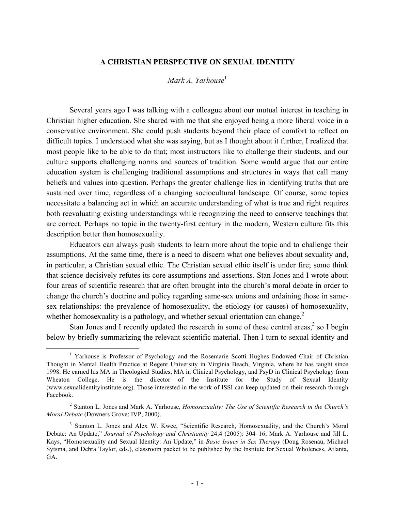#### **A CHRISTIAN PERSPECTIVE ON SEXUAL IDENTITY**

#### *Mark A. Yarhouse*<sup>1</sup>

Several years ago I was talking with a colleague about our mutual interest in teaching in Christian higher education. She shared with me that she enjoyed being a more liberal voice in a conservative environment. She could push students beyond their place of comfort to reflect on difficult topics. I understood what she was saying, but as I thought about it further, I realized that most people like to be able to do that; most instructors like to challenge their students, and our culture supports challenging norms and sources of tradition. Some would argue that our entire education system is challenging traditional assumptions and structures in ways that call many beliefs and values into question. Perhaps the greater challenge lies in identifying truths that are sustained over time, regardless of a changing sociocultural landscape. Of course, some topics necessitate a balancing act in which an accurate understanding of what is true and right requires both reevaluating existing understandings while recognizing the need to conserve teachings that are correct. Perhaps no topic in the twenty-first century in the modern, Western culture fits this description better than homosexuality.

Educators can always push students to learn more about the topic and to challenge their assumptions. At the same time, there is a need to discern what one believes about sexuality and, in particular, a Christian sexual ethic. The Christian sexual ethic itself is under fire; some think that science decisively refutes its core assumptions and assertions. Stan Jones and I wrote about four areas of scientific research that are often brought into the church's moral debate in order to change the church's doctrine and policy regarding same-sex unions and ordaining those in samesex relationships: the prevalence of homosexuality, the etiology (or causes) of homosexuality, whether homosexuality is a pathology, and whether sexual orientation can change.<sup>2</sup>

Stan Jones and I recently updated the research in some of these central areas, $3$  so I begin below by briefly summarizing the relevant scientific material. Then I turn to sexual identity and

<sup>&</sup>lt;sup>1</sup> Yarhouse is Professor of Psychology and the Rosemarie Scotti Hughes Endowed Chair of Christian Thought in Mental Health Practice at Regent University in Virginia Beach, Virginia, where he has taught since 1998. He earned his MA in Theological Studies, MA in Clinical Psychology, and PsyD in Clinical Psychology from Wheaton College. He is the director of the Institute for the Study of Sexual Identity (www.sexualidentityinstitute.org). Those interested in the work of ISSI can keep updated on their research through Facebook.

<sup>2</sup> Stanton L. Jones and Mark A. Yarhouse, *Homosexuality: The Use of Scientific Research in the Church's Moral Debate* (Downers Grove: IVP, 2000).

<sup>&</sup>lt;sup>3</sup> Stanton L. Jones and Alex W. Kwee, "Scientific Research, Homosexuality, and the Church's Moral Debate: An Update," *Journal of Psychology and Christianity* 24:4 (2005): 304–16; Mark A. Yarhouse and Jill L. Kays, "Homosexuality and Sexual Identity: An Update," in *Basic Issues in Sex Therapy* (Doug Rosenau, Michael Sytsma, and Debra Taylor, eds.), classroom packet to be published by the Institute for Sexual Wholeness, Atlanta, GA.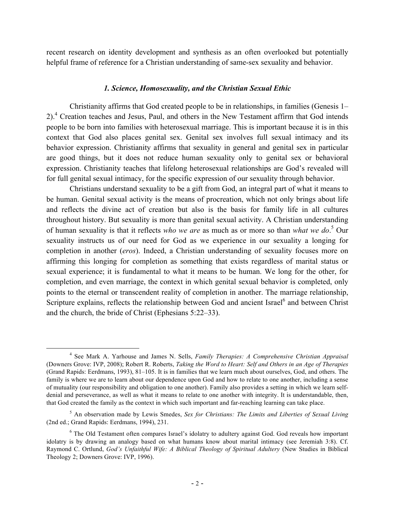recent research on identity development and synthesis as an often overlooked but potentially helpful frame of reference for a Christian understanding of same-sex sexuality and behavior.

#### *1. Science, Homosexuality, and the Christian Sexual Ethic*

Christianity affirms that God created people to be in relationships, in families (Genesis 1– 2).<sup>4</sup> Creation teaches and Jesus, Paul, and others in the New Testament affirm that God intends people to be born into families with heterosexual marriage. This is important because it is in this context that God also places genital sex. Genital sex involves full sexual intimacy and its behavior expression. Christianity affirms that sexuality in general and genital sex in particular are good things, but it does not reduce human sexuality only to genital sex or behavioral expression. Christianity teaches that lifelong heterosexual relationships are God's revealed will for full genital sexual intimacy, for the specific expression of our sexuality through behavior.

Christians understand sexuality to be a gift from God, an integral part of what it means to be human. Genital sexual activity is the means of procreation, which not only brings about life and reflects the divine act of creation but also is the basis for family life in all cultures throughout history. But sexuality is more than genital sexual activity. A Christian understanding of human sexuality is that it reflects *who we are* as much as or more so than *what we do*. <sup>5</sup> Our sexuality instructs us of our need for God as we experience in our sexuality a longing for completion in another (*eros*). Indeed, a Christian understanding of sexuality focuses more on affirming this longing for completion as something that exists regardless of marital status or sexual experience; it is fundamental to what it means to be human. We long for the other, for completion, and even marriage, the context in which genital sexual behavior is completed, only points to the eternal or transcendent reality of completion in another. The marriage relationship, Scripture explains, reflects the relationship between God and ancient Israel<sup>6</sup> and between Christ and the church, the bride of Christ (Ephesians 5:22–33).

 <sup>4</sup> See Mark A. Yarhouse and James N. Sells, *Family Therapies: A Comprehensive Christian Appraisal* (Downers Grove: IVP, 2008); Robert R. Roberts, *Taking the Word to Heart: Self and Others in an Age of Therapies* (Grand Rapids: Eerdmans, 1993), 81–105. It is in families that we learn much about ourselves, God, and others. The family is where we are to learn about our dependence upon God and how to relate to one another, including a sense of mutuality (our responsibility and obligation to one another). Family also provides a setting in which we learn selfdenial and perseverance, as well as what it means to relate to one another with integrity. It is understandable, then, that God created the family as the context in which such important and far-reaching learning can take place.

<sup>5</sup> An observation made by Lewis Smedes, *Sex for Christians: The Limits and Liberties of Sexual Living* (2nd ed.; Grand Rapids: Eerdmans, 1994), 231.

<sup>6</sup> The Old Testament often compares Israel's idolatry to adultery against God. God reveals how important idolatry is by drawing an analogy based on what humans know about marital intimacy (see Jeremiah 3:8). Cf. Raymond C. Ortlund, *God's Unfaithful Wife: A Biblical Theology of Spiritual Adultery* (New Studies in Biblical Theology 2; Downers Grove: IVP, 1996).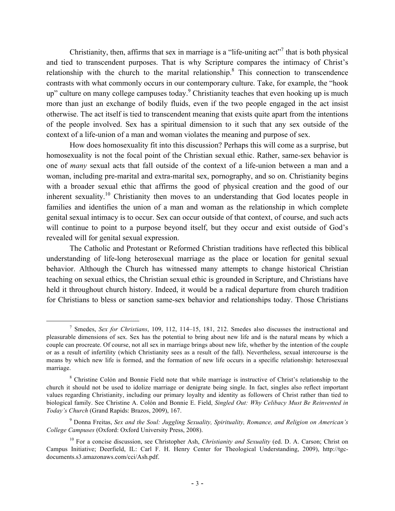Christianity, then, affirms that sex in marriage is a "life-uniting  $\arctan^7$  that is both physical and tied to transcendent purposes. That is why Scripture compares the intimacy of Christ's relationship with the church to the marital relationship.<sup>8</sup> This connection to transcendence contrasts with what commonly occurs in our contemporary culture. Take, for example, the "hook up" culture on many college campuses today. <sup>9</sup> Christianity teaches that even hooking up is much more than just an exchange of bodily fluids, even if the two people engaged in the act insist otherwise. The act itself is tied to transcendent meaning that exists quite apart from the intentions of the people involved. Sex has a spiritual dimension to it such that any sex outside of the context of a life-union of a man and woman violates the meaning and purpose of sex.

How does homosexuality fit into this discussion? Perhaps this will come as a surprise, but homosexuality is not the focal point of the Christian sexual ethic. Rather, same-sex behavior is one of *many* sexual acts that fall outside of the context of a life-union between a man and a woman, including pre-marital and extra-marital sex, pornography, and so on. Christianity begins with a broader sexual ethic that affirms the good of physical creation and the good of our inherent sexuality.<sup>10</sup> Christianity then moves to an understanding that God locates people in families and identifies the union of a man and woman as the relationship in which complete genital sexual intimacy is to occur. Sex can occur outside of that context, of course, and such acts will continue to point to a purpose beyond itself, but they occur and exist outside of God's revealed will for genital sexual expression.

The Catholic and Protestant or Reformed Christian traditions have reflected this biblical understanding of life-long heterosexual marriage as the place or location for genital sexual behavior. Although the Church has witnessed many attempts to change historical Christian teaching on sexual ethics, the Christian sexual ethic is grounded in Scripture, and Christians have held it throughout church history. Indeed, it would be a radical departure from church tradition for Christians to bless or sanction same-sex behavior and relationships today. Those Christians

 <sup>7</sup> Smedes, *Sex for Christians*, 109, 112, 114–15, 181, 212. Smedes also discusses the instructional and pleasurable dimensions of sex. Sex has the potential to bring about new life and is the natural means by which a couple can procreate. Of course, not all sex in marriage brings about new life, whether by the intention of the couple or as a result of infertility (which Christianity sees as a result of the fall). Nevertheless, sexual intercourse is the means by which new life is formed, and the formation of new life occurs in a specific relationship: heterosexual marriage.

<sup>&</sup>lt;sup>8</sup> Christine Colón and Bonnie Field note that while marriage is instructive of Christ's relationship to the church it should not be used to idolize marriage or denigrate being single. In fact, singles also reflect important values regarding Christianity, including our primary loyalty and identity as followers of Christ rather than tied to biological family. See Christine A. Colón and Bonnie E. Field, *Singled Out: Why Celibacy Must Be Reinvented in Today's Church* (Grand Rapids: Brazos, 2009), 167.

<sup>9</sup> Donna Freitas, *Sex and the Soul: Juggling Sexuality, Spirituality, Romance, and Religion on American's College Campuses* (Oxford: Oxford University Press, 2008).

<sup>10</sup> For a concise discussion, see Christopher Ash, *Christianity and Sexuality* (ed. D. A. Carson; Christ on Campus Initiative; Deerfield, IL: Carl F. H. Henry Center for Theological Understanding, 2009), http://tgcdocuments.s3.amazonaws.com/cci/Ash.pdf.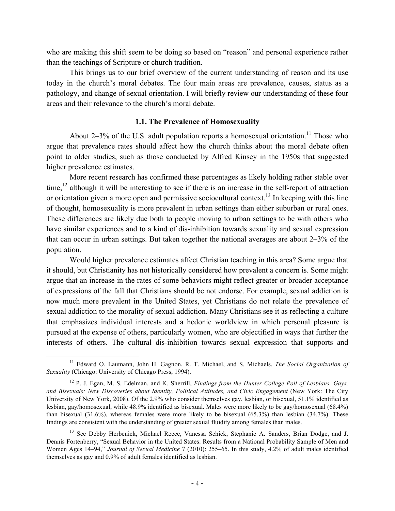who are making this shift seem to be doing so based on "reason" and personal experience rather than the teachings of Scripture or church tradition.

This brings us to our brief overview of the current understanding of reason and its use today in the church's moral debates. The four main areas are prevalence, causes, status as a pathology, and change of sexual orientation. I will briefly review our understanding of these four areas and their relevance to the church's moral debate.

#### **1.1. The Prevalence of Homosexuality**

About  $2-3\%$  of the U.S. adult population reports a homosexual orientation.<sup>11</sup> Those who argue that prevalence rates should affect how the church thinks about the moral debate often point to older studies, such as those conducted by Alfred Kinsey in the 1950s that suggested higher prevalence estimates.

More recent research has confirmed these percentages as likely holding rather stable over time,<sup>12</sup> although it will be interesting to see if there is an increase in the self-report of attraction or orientation given a more open and permissive sociocultural context.<sup>13</sup> In keeping with this line of thought, homosexuality is more prevalent in urban settings than either suburban or rural ones. These differences are likely due both to people moving to urban settings to be with others who have similar experiences and to a kind of dis-inhibition towards sexuality and sexual expression that can occur in urban settings. But taken together the national averages are about 2–3% of the population.

Would higher prevalence estimates affect Christian teaching in this area? Some argue that it should, but Christianity has not historically considered how prevalent a concern is. Some might argue that an increase in the rates of some behaviors might reflect greater or broader acceptance of expressions of the fall that Christians should be not endorse. For example, sexual addiction is now much more prevalent in the United States, yet Christians do not relate the prevalence of sexual addiction to the morality of sexual addiction. Many Christians see it as reflecting a culture that emphasizes individual interests and a hedonic worldview in which personal pleasure is pursued at the expense of others, particularly women, who are objectified in ways that further the interests of others. The cultural dis-inhibition towards sexual expression that supports and

 <sup>11</sup> Edward O. Laumann, John H. Gagnon, R. T. Michael, and S. Michaels, *The Social Organization of Sexuality* (Chicago: University of Chicago Press, 1994).

<sup>12</sup> P. J. Egan, M. S. Edelman, and K. Sherrill, *Findings from the Hunter College Poll of Lesbians, Gays, and Bisexuals: New Discoveries about Identity, Political Attitudes, and Civic Engagement* (New York: The City University of New York, 2008). Of the 2.9% who consider themselves gay, lesbian, or bisexual, 51.1% identified as lesbian, gay/homosexual, while 48.9% identified as bisexual. Males were more likely to be gay/homosexual (68.4%) than bisexual (31.6%), whereas females were more likely to be bisexual (65.3%) than lesbian (34.7%). These findings are consistent with the understanding of greater sexual fluidity among females than males.

<sup>&</sup>lt;sup>13</sup> See Debby Herbenick, Michael Reece, Vanessa Schick, Stephanie A. Sanders, Brian Dodge, and J. Dennis Fortenberry, "Sexual Behavior in the United States: Results from a National Probability Sample of Men and Women Ages 14–94," *Journal of Sexual Medicine* 7 (2010): 255–65. In this study, 4.2% of adult males identified themselves as gay and 0.9% of adult females identified as lesbian.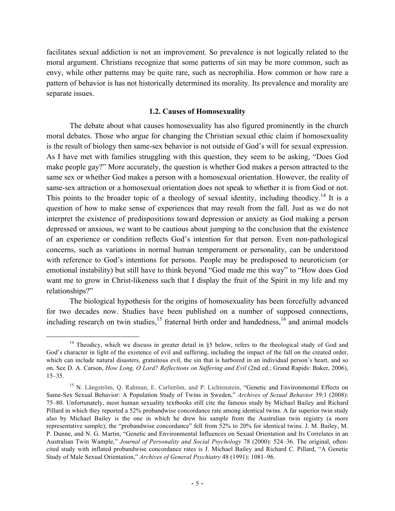facilitates sexual addiction is not an improvement. So prevalence is not logically related to the moral argument. Christians recognize that some patterns of sin may be more common, such as envy, while other patterns may be quite rare, such as necrophilia. How common or how rare a pattern of behavior is has not historically determined its morality. Its prevalence and morality are separate issues.

#### **1.2. Causes of Homosexuality**

The debate about what causes homosexuality has also figured prominently in the church moral debates. Those who argue for changing the Christian sexual ethic claim if homosexuality is the result of biology then same-sex behavior is not outside of God's will for sexual expression. As I have met with families struggling with this question, they seem to be asking, "Does God make people gay?" More accurately, the question is whether God makes a person attracted to the same sex or whether God makes a person with a homosexual orientation. However, the reality of same-sex attraction or a homosexual orientation does not speak to whether it is from God or not. This points to the broader topic of a theology of sexual identity, including theodicy.<sup>14</sup> It is a question of how to make sense of experiences that may result from the fall. Just as we do not interpret the existence of predispositions toward depression or anxiety as God making a person depressed or anxious, we want to be cautious about jumping to the conclusion that the existence of an experience or condition reflects God's intention for that person. Even non-pathological concerns, such as variations in normal human temperament or personality, can be understood with reference to God's intentions for persons. People may be predisposed to neuroticism (or emotional instability) but still have to think beyond "God made me this way" to "How does God want me to grow in Christ-likeness such that I display the fruit of the Spirit in my life and my relationships?"

The biological hypothesis for the origins of homosexuality has been forcefully advanced for two decades now. Studies have been published on a number of supposed connections, including research on twin studies,<sup>15</sup> fraternal birth order and handedness,<sup>16</sup> and animal models

<sup>&</sup>lt;sup>14</sup> Theodicy, which we discuss in greater detail in  $\S5$  below, refers to the theological study of God and God's character in light of the existence of evil and suffering, including the impact of the fall on the created order, which can include natural disasters, gratuitous evil, the sin that is harbored in an individual person's heart, and so on. See D. A. Carson, *How Long, O Lord? Reflections on Suffering and Evil* (2nd ed.; Grand Rapids: Baker, 2006), 15–35.

<sup>&</sup>lt;sup>15</sup> N. Långström, Q. Rahman, E. Carlström, and P. Lichtenstein, "Genetic and Environmental Effects on Same-Sex Sexual Behavior: A Population Study of Twins in Sweden," *Archives of Sexual Behavior* 39:1 (2008): 75–80. Unfortunately, most human sexuality textbooks still cite the famous study by Michael Bailey and Richard Pillard in which they reported a 52% probandwise concordance rate among identical twins. A far superior twin study also by Michael Bailey is the one in which he drew his sample from the Australian twin registry (a more representative sample); the "probandwise concordance" fell from 52% to 20% for identical twins. J. M. Bailey, M. P. Dunne, and N. G. Martin, "Genetic and Environmental Influences on Sexual Orientation and Its Correlates in an Australian Twin Wample," *Journal of Personality and Social Psychology* 78 (2000): 524–36. The original, oftencited study with inflated probandwise concordance rates is J. Michael Bailey and Richard C. Pillard, "A Genetic Study of Male Sexual Orientation," *Archives of General Psychiatry* 48 (1991): 1081–96.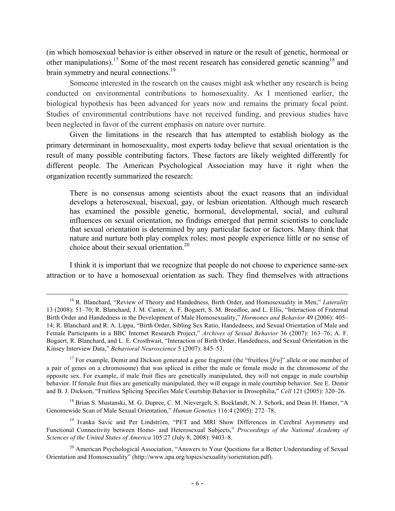(in which homosexual behavior is either observed in nature or the result of genetic, hormonal or other manipulations).<sup>17</sup> Some of the most recent research has considered genetic scanning<sup>18</sup> and brain symmetry and neural connections.<sup>19</sup>

Someone interested in the research on the causes might ask whether any research is being conducted on environmental contributions to homosexuality. As I mentioned earlier, the biological hypothesis has been advanced for years now and remains the primary focal point. Studies of environmental contributions have not received funding, and previous studies have been neglected in favor of the current emphasis on nature over nurture.

Given the limitations in the research that has attempted to establish biology as the primary determinant in homosexuality, most experts today believe that sexual orientation is the result of many possible contributing factors. These factors are likely weighted differently for different people. The American Psychological Association may have it right when the organization recently summarized the research:

There is no consensus among scientists about the exact reasons that an individual develops a heterosexual, bisexual, gay, or lesbian orientation. Although much research has examined the possible genetic, hormonal, developmental, social, and cultural influences on sexual orientation, no findings emerged that permit scientists to conclude that sexual orientation is determined by any particular factor or factors. Many think that nature and nurture both play complex roles; most people experience little or no sense of choice about their sexual orientation.<sup>20</sup>

I think it is important that we recognize that people do not choose to experience same-sex attraction or to have a homosexual orientation as such. They find themselves with attractions

<sup>18</sup> Brian S. Mustanski, M. G. Dupree, C. M. Nievergelt, S. Bocklandt, N. J. Schork, and Dean H. Hamer, "A Genomewide Scan of Male Sexual Orientation," *Human Genetics* 116:4 (2005): 272–78.

<sup>&</sup>lt;sup>16</sup> R. Blanchard, "Review of Theory and Handedness, Birth Order, and Homosexuality in Men," *Laterality* 13 (2008): 51–70; R. Blanchard, J. M. Cantor, A. F. Bogaert, S. M. Breedloe, and L. Ellis, "Interaction of Fraternal Birth Order and Handedness in the Development of Male Homosexuality," *Hormones and Behavior* 49 (2006): 405– 14; R. Blanchard and R. A. Lippa, "Birth Order, Sibling Sex Ratio, Handedness, and Sexual Orientation of Male and Female Participants in a BBC Internet Research Project," *Archives of Sexual Behavior* 36 (2007): 163–76; A. F. Bogaert, R. Blanchard, and L. E. Crosthwait, "Interaction of Birth Order, Handedness, and Sexual Orientation in the Kinsey Interview Data," *Behavioral Neuroscience* 5 (2007): 845–53.

<sup>&</sup>lt;sup>17</sup> For example, Demir and Dickson generated a gene fragment (the "fruitless [*fru*]" allele or one member of a pair of genes on a chromosome) that was spliced in either the male or female mode in the chromosome of the opposite sex. For example, if male fruit flies are genetically manipulated, they will not engage in male courtship behavior. If female fruit flies are genetically manipulated, they will engage in male courtship behavior. See E. Demir and B. J. Dickson, "Fruitless Splicing Specifies Male Courtship Behavior in Drosophilia," *Cell* 121 (2005): 320–26.

<sup>&</sup>lt;sup>19</sup> Ivanka Savic and Per Lindström, "PET and MRI Show Differences in Cerebral Asymmetry and Functional Connectivity between Homo- and Heterosexual Subjects," *Proceedings of the National Academy of Sciences of the United States of America* 105:27 (July 8, 2008): 9403–8.

<sup>&</sup>lt;sup>20</sup> American Psychological Association, "Answers to Your Questions for a Better Understanding of Sexual Orientation and Homosexuality" (http://www.apa.org/topics/sexuality/sorientation.pdf).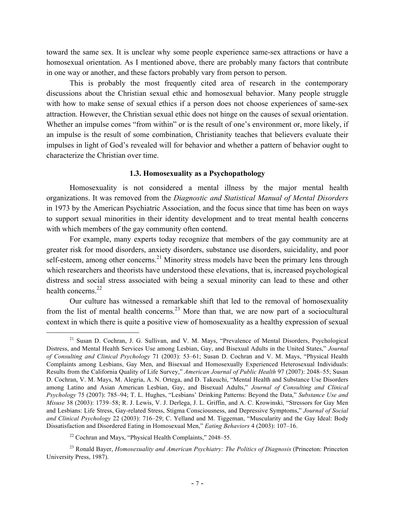toward the same sex. It is unclear why some people experience same-sex attractions or have a homosexual orientation. As I mentioned above, there are probably many factors that contribute in one way or another, and these factors probably vary from person to person.

This is probably the most frequently cited area of research in the contemporary discussions about the Christian sexual ethic and homosexual behavior. Many people struggle with how to make sense of sexual ethics if a person does not choose experiences of same-sex attraction. However, the Christian sexual ethic does not hinge on the causes of sexual orientation. Whether an impulse comes "from within" or is the result of one's environment or, more likely, if an impulse is the result of some combination, Christianity teaches that believers evaluate their impulses in light of God's revealed will for behavior and whether a pattern of behavior ought to characterize the Christian over time.

#### **1.3. Homosexuality as a Psychopathology**

Homosexuality is not considered a mental illness by the major mental health organizations. It was removed from the *Diagnostic and Statistical Manual of Mental Disorders* in 1973 by the American Psychiatric Association, and the focus since that time has been on ways to support sexual minorities in their identity development and to treat mental health concerns with which members of the gay community often contend.

For example, many experts today recognize that members of the gay community are at greater risk for mood disorders, anxiety disorders, substance use disorders, suicidality, and poor self-esteem, among other concerns.<sup>21</sup> Minority stress models have been the primary lens through which researchers and theorists have understood these elevations, that is, increased psychological distress and social stress associated with being a sexual minority can lead to these and other health concerns. $22$ 

Our culture has witnessed a remarkable shift that led to the removal of homosexuality from the list of mental health concerns.<sup>23</sup> More than that, we are now part of a sociocultural context in which there is quite a positive view of homosexuality as a healthy expression of sexual

<sup>&</sup>lt;sup>21</sup> Susan D. Cochran, J. G. Sullivan, and V. M. Mays, "Prevalence of Mental Disorders, Psychological Distress, and Mental Health Services Use among Lesbian, Gay, and Bisexual Adults in the United States," *Journal of Consulting and Clinical Psychology* 71 (2003): 53–61; Susan D. Cochran and V. M. Mays, "Physical Health Complaints among Lesbians, Gay Men, and Bisexual and Homosexually Experienced Heterosexual Individuals: Results from the California Quality of Life Survey," *American Journal of Public Health* 97 (2007): 2048–55; Susan D. Cochran, V. M. Mays, M. Alegria, A. N. Ortega, and D. Takeuchi, "Mental Health and Substance Use Disorders among Latino and Asian American Lesbian, Gay, and Bisexual Adults," *Journal of Consulting and Clinical Psychology* 75 (2007): 785–94; T. L. Hughes, "Lesbians' Drinking Patterns: Beyond the Data," *Substance Use and Misuse* 38 (2003): 1739–58; R. J. Lewis, V. J. Derlega, J. L. Griffin, and A. C. Krowinski, "Stressors for Gay Men and Lesbians: Life Stress, Gay-related Stress, Stigma Consciousness, and Depressive Symptoms," *Journal of Social and Clinical Psychology* 22 (2003): 716–29; C. Yelland and M. Tiggeman, "Muscularity and the Gay Ideal: Body Dissatisfaction and Disordered Eating in Homosexual Men," *Eating Behaviors* 4 (2003): 107–16.

<sup>22</sup> Cochran and Mays, "Physical Health Complaints," 2048–55.

<sup>23</sup> Ronald Bayer, *Homosexuality and American Psychiatry: The Politics of Diagnosis* (Princeton: Princeton University Press, 1987).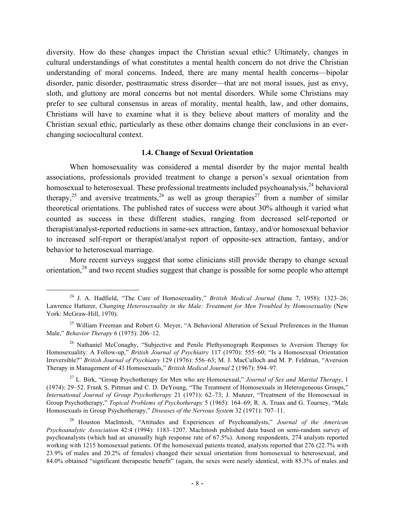diversity. How do these changes impact the Christian sexual ethic? Ultimately, changes in cultural understandings of what constitutes a mental health concern do not drive the Christian understanding of moral concerns. Indeed, there are many mental health concerns—bipolar disorder, panic disorder, posttraumatic stress disorder—that are not moral issues, just as envy, sloth, and gluttony are moral concerns but not mental disorders. While some Christians may prefer to see cultural consensus in areas of morality, mental health, law, and other domains, Christians will have to examine what it is they believe about matters of morality and the Christian sexual ethic, particularly as these other domains change their conclusions in an everchanging sociocultural context.

### **1.4. Change of Sexual Orientation**

When homosexuality was considered a mental disorder by the major mental health associations, professionals provided treatment to change a person's sexual orientation from homosexual to heterosexual. These professional treatments included psychoanalysis,<sup>24</sup> behavioral therapy,<sup>25</sup> and aversive treatments,<sup>26</sup> as well as group therapies<sup>27</sup> from a number of similar theoretical orientations. The published rates of success were about 30% although it varied what counted as success in these different studies, ranging from decreased self-reported or therapist/analyst-reported reductions in same-sex attraction, fantasy, and/or homosexual behavior to increased self-report or therapist/analyst report of opposite-sex attraction, fantasy, and/or behavior to heterosexual marriage.

More recent surveys suggest that some clinicians still provide therapy to change sexual orientation,<sup>28</sup> and two recent studies suggest that change is possible for some people who attempt

<sup>27</sup> L. Birk, "Group Psychotherapy for Men who are Homosexual," *Journal of Sex and Marital Therapy*, 1 (1974): 29–52. Frank S. Pittman and C. D. DeYoung, "The Treatment of Homosexuals in Heterogeneous Groups," *International Journal of Group Psychotherapy* 21 (1971): 62–73; J. Munzer, "Treatment of the Homosexual in Group Psychotherapy," *Topical Problems of Psychotherapy* 5 (1965): 164–69; R. A. Truax and G. Tourney, "Male Homosexuals in Group Psychotherapy," *Diseases of the Nervous System* 32 (1971): 707–11.

 <sup>24</sup> J. A. Hadfield, "The Cure of Homosexuality," *British Medical Journal* (June 7, 1958): 1323–26; Lawrence Hatterer, *Changing Heterosexuality in the Male: Treatment for Men Troubled by Homosexuality* (New York: McGraw-Hill, 1970).

<sup>&</sup>lt;sup>25</sup> William Freeman and Robert G. Meyer, "A Behavioral Alteration of Sexual Preferences in the Human Male," *Behavior Therapy* 6 (1975): 206–12.

<sup>&</sup>lt;sup>26</sup> Nathaniel McConaghy, "Subjective and Penile Plethysmograph Responses to Aversion Therapy for Homosexuality: A Follow-up," *British Journal of Psychiatry* 117 (1970): 555–60; "Is a Homosexual Orientation Irreversible?" *British Journal of Psychiatry* 129 (1976): 556–63; M. J. MacCulloch and M. P. Feldman, "Aversion Therapy in Management of 43 Homosexuals," *British Medical Journal* 2 (1967): 594–97.

<sup>28</sup> Houston MacIntosh, "Attitudes and Experiences of Psychoanalysts," *Journal of the American Psychoanalytic Association* 42:4 (1994): 1183–1207. MacIntosh published data based on semi-random survey of psychoanalysts (which had an unusually high response rate of 67.5%). Among respondents, 274 analysts reported working with 1215 homosexual patients. Of the homosexual patients treated, analysts reported that 276 (22.7% with 23.9% of males and 20.2% of females) changed their sexual orientation from homosexual to heterosexual, and 84.0% obtained "significant therapeutic benefit" (again, the sexes were nearly identical, with 85.3% of males and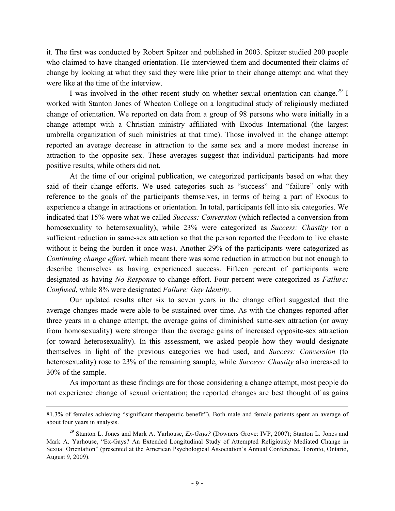it. The first was conducted by Robert Spitzer and published in 2003. Spitzer studied 200 people who claimed to have changed orientation. He interviewed them and documented their claims of change by looking at what they said they were like prior to their change attempt and what they were like at the time of the interview.

I was involved in the other recent study on whether sexual orientation can change.<sup>29</sup> I worked with Stanton Jones of Wheaton College on a longitudinal study of religiously mediated change of orientation. We reported on data from a group of 98 persons who were initially in a change attempt with a Christian ministry affiliated with Exodus International (the largest umbrella organization of such ministries at that time). Those involved in the change attempt reported an average decrease in attraction to the same sex and a more modest increase in attraction to the opposite sex. These averages suggest that individual participants had more positive results, while others did not.

At the time of our original publication, we categorized participants based on what they said of their change efforts. We used categories such as "success" and "failure" only with reference to the goals of the participants themselves, in terms of being a part of Exodus to experience a change in attractions or orientation. In total, participants fell into six categories. We indicated that 15% were what we called *Success: Conversion* (which reflected a conversion from homosexuality to heterosexuality), while 23% were categorized as *Success: Chastity* (or a sufficient reduction in same-sex attraction so that the person reported the freedom to live chaste without it being the burden it once was). Another 29% of the participants were categorized as *Continuing change effort*, which meant there was some reduction in attraction but not enough to describe themselves as having experienced success. Fifteen percent of participants were designated as having *No Response* to change effort. Four percent were categorized as *Failure: Confused*, while 8% were designated *Failure: Gay Identity*.

Our updated results after six to seven years in the change effort suggested that the average changes made were able to be sustained over time. As with the changes reported after three years in a change attempt, the average gains of diminished same-sex attraction (or away from homosexuality) were stronger than the average gains of increased opposite-sex attraction (or toward heterosexuality). In this assessment, we asked people how they would designate themselves in light of the previous categories we had used, and *Success: Conversion* (to heterosexuality) rose to 23% of the remaining sample, while *Success: Chastity* also increased to 30% of the sample.

As important as these findings are for those considering a change attempt, most people do not experience change of sexual orientation; the reported changes are best thought of as gains

 $\overline{a}$ 

<sup>81.3%</sup> of females achieving "significant therapeutic benefit"). Both male and female patients spent an average of about four years in analysis.

<sup>29</sup> Stanton L. Jones and Mark A. Yarhouse, *Ex-Gays?* (Downers Grove: IVP, 2007); Stanton L. Jones and Mark A. Yarhouse, "Ex-Gays? An Extended Longitudinal Study of Attempted Religiously Mediated Change in Sexual Orientation" (presented at the American Psychological Association's Annual Conference, Toronto, Ontario, August 9, 2009).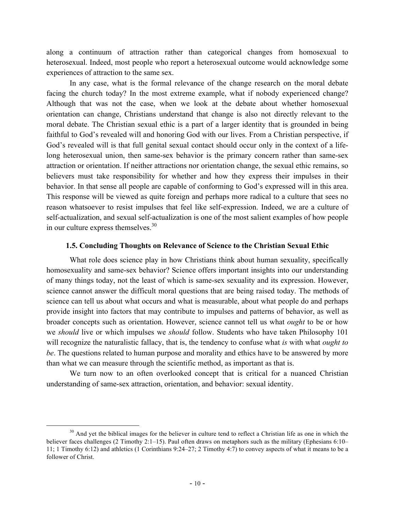along a continuum of attraction rather than categorical changes from homosexual to heterosexual. Indeed, most people who report a heterosexual outcome would acknowledge some experiences of attraction to the same sex.

In any case, what is the formal relevance of the change research on the moral debate facing the church today? In the most extreme example, what if nobody experienced change? Although that was not the case, when we look at the debate about whether homosexual orientation can change, Christians understand that change is also not directly relevant to the moral debate. The Christian sexual ethic is a part of a larger identity that is grounded in being faithful to God's revealed will and honoring God with our lives. From a Christian perspective, if God's revealed will is that full genital sexual contact should occur only in the context of a lifelong heterosexual union, then same-sex behavior is the primary concern rather than same-sex attraction or orientation. If neither attractions nor orientation change, the sexual ethic remains, so believers must take responsibility for whether and how they express their impulses in their behavior. In that sense all people are capable of conforming to God's expressed will in this area. This response will be viewed as quite foreign and perhaps more radical to a culture that sees no reason whatsoever to resist impulses that feel like self-expression. Indeed, we are a culture of self-actualization, and sexual self-actualization is one of the most salient examples of how people in our culture express themselves.<sup>30</sup>

#### **1.5. Concluding Thoughts on Relevance of Science to the Christian Sexual Ethic**

What role does science play in how Christians think about human sexuality, specifically homosexuality and same-sex behavior? Science offers important insights into our understanding of many things today, not the least of which is same-sex sexuality and its expression. However, science cannot answer the difficult moral questions that are being raised today. The methods of science can tell us about what occurs and what is measurable, about what people do and perhaps provide insight into factors that may contribute to impulses and patterns of behavior, as well as broader concepts such as orientation. However, science cannot tell us what *ought* to be or how we *should* live or which impulses we *should* follow. Students who have taken Philosophy 101 will recognize the naturalistic fallacy, that is, the tendency to confuse what *is* with what *ought to be*. The questions related to human purpose and morality and ethics have to be answered by more than what we can measure through the scientific method, as important as that is.

We turn now to an often overlooked concept that is critical for a nuanced Christian understanding of same-sex attraction, orientation, and behavior: sexual identity.

<sup>&</sup>lt;sup>30</sup> And yet the biblical images for the believer in culture tend to reflect a Christian life as one in which the believer faces challenges (2 Timothy 2:1–15). Paul often draws on metaphors such as the military (Ephesians 6:10– 11; 1 Timothy 6:12) and athletics (1 Corinthians 9:24–27; 2 Timothy 4:7) to convey aspects of what it means to be a follower of Christ.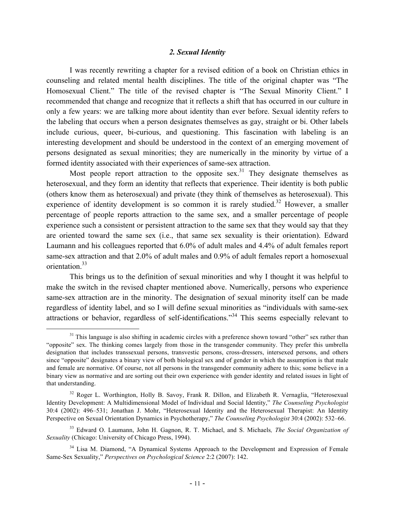#### *2. Sexual Identity*

I was recently rewriting a chapter for a revised edition of a book on Christian ethics in counseling and related mental health disciplines. The title of the original chapter was "The Homosexual Client." The title of the revised chapter is "The Sexual Minority Client." I recommended that change and recognize that it reflects a shift that has occurred in our culture in only a few years: we are talking more about identity than ever before. Sexual identity refers to the labeling that occurs when a person designates themselves as gay, straight or bi. Other labels include curious, queer, bi-curious, and questioning. This fascination with labeling is an interesting development and should be understood in the context of an emerging movement of persons designated as sexual minorities; they are numerically in the minority by virtue of a formed identity associated with their experiences of same-sex attraction.

Most people report attraction to the opposite sex.<sup>31</sup> They designate themselves as heterosexual, and they form an identity that reflects that experience. Their identity is both public (others know them as heterosexual) and private (they think of themselves as heterosexual). This experience of identity development is so common it is rarely studied.<sup>32</sup> However, a smaller percentage of people reports attraction to the same sex, and a smaller percentage of people experience such a consistent or persistent attraction to the same sex that they would say that they are oriented toward the same sex (i.e., that same sex sexuality is their orientation). Edward Laumann and his colleagues reported that 6.0% of adult males and 4.4% of adult females report same-sex attraction and that 2.0% of adult males and 0.9% of adult females report a homosexual orientation.33

This brings us to the definition of sexual minorities and why I thought it was helpful to make the switch in the revised chapter mentioned above. Numerically, persons who experience same-sex attraction are in the minority. The designation of sexual minority itself can be made regardless of identity label, and so I will define sexual minorities as "individuals with same-sex attractions or behavior, regardless of self-identifications."<sup>34</sup> This seems especially relevant to

 $31$  This language is also shifting in academic circles with a preference shown toward "other" sex rather than "opposite" sex. The thinking comes largely from those in the transgender community. They prefer this umbrella designation that includes transsexual persons, transvestic persons, cross-dressers, intersexed persons, and others since "opposite" designates a binary view of both biological sex and of gender in which the assumption is that male and female are normative. Of course, not all persons in the transgender community adhere to this; some believe in a binary view as normative and are sorting out their own experience with gender identity and related issues in light of that understanding.

<sup>&</sup>lt;sup>32</sup> Roger L. Worthington, Holly B. Savoy, Frank R. Dillon, and Elizabeth R. Vernaglia, "Heterosexual Identity Development: A Multidimensional Model of Individual and Social Identity," *The Counseling Psychologist* 30:4 (2002): 496–531; Jonathan J. Mohr, "Heterosexual Identity and the Heterosexual Therapist: An Identity Perspective on Sexual Orientation Dynamics in Psychotherapy," *The Counseling Psychologist* 30:4 (2002): 532–66.

<sup>33</sup> Edward O. Laumann, John H. Gagnon, R. T. Michael, and S. Michaels*, The Social Organization of Sexuality* (Chicago: University of Chicago Press, 1994).

<sup>&</sup>lt;sup>34</sup> Lisa M. Diamond, "A Dynamical Systems Approach to the Development and Expression of Female Same-Sex Sexuality," *Perspectives on Psychological Science* 2:2 (2007): 142.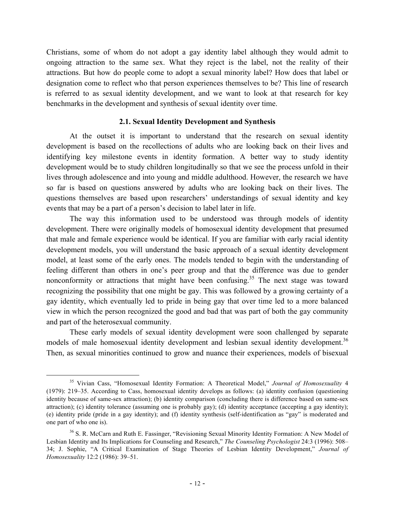Christians, some of whom do not adopt a gay identity label although they would admit to ongoing attraction to the same sex. What they reject is the label, not the reality of their attractions. But how do people come to adopt a sexual minority label? How does that label or designation come to reflect who that person experiences themselves to be? This line of research is referred to as sexual identity development, and we want to look at that research for key benchmarks in the development and synthesis of sexual identity over time.

#### **2.1. Sexual Identity Development and Synthesis**

At the outset it is important to understand that the research on sexual identity development is based on the recollections of adults who are looking back on their lives and identifying key milestone events in identity formation. A better way to study identity development would be to study children longitudinally so that we see the process unfold in their lives through adolescence and into young and middle adulthood. However, the research we have so far is based on questions answered by adults who are looking back on their lives. The questions themselves are based upon researchers' understandings of sexual identity and key events that may be a part of a person's decision to label later in life.

The way this information used to be understood was through models of identity development. There were originally models of homosexual identity development that presumed that male and female experience would be identical. If you are familiar with early racial identity development models, you will understand the basic approach of a sexual identity development model, at least some of the early ones. The models tended to begin with the understanding of feeling different than others in one's peer group and that the difference was due to gender nonconformity or attractions that might have been confusing.<sup>35</sup> The next stage was toward recognizing the possibility that one might be gay. This was followed by a growing certainty of a gay identity, which eventually led to pride in being gay that over time led to a more balanced view in which the person recognized the good and bad that was part of both the gay community and part of the heterosexual community.

These early models of sexual identity development were soon challenged by separate models of male homosexual identity development and lesbian sexual identity development.<sup>36</sup> Then, as sexual minorities continued to grow and nuance their experiences, models of bisexual

 <sup>35</sup> Vivian Cass, "Homosexual Identity Formation: A Theoretical Model," *Journal of Homosexuality* <sup>4</sup> (1979): 219–35. According to Cass, homosexual identity develops as follows: (a) identity confusion (questioning identity because of same-sex attraction); (b) identity comparison (concluding there is difference based on same-sex attraction); (c) identity tolerance (assuming one is probably gay); (d) identity acceptance (accepting a gay identity); (e) identity pride (pride in a gay identity); and (f) identity synthesis (self-identification as "gay" is moderated and one part of who one is).

<sup>&</sup>lt;sup>36</sup> S. R. McCarn and Ruth E. Fassinger, "Revisioning Sexual Minority Identity Formation: A New Model of Lesbian Identity and Its Implications for Counseling and Research," *The Counseling Psychologist* 24:3 (1996): 508– 34; J. Sophie, "A Critical Examination of Stage Theories of Lesbian Identity Development," *Journal of Homosexuality* 12:2 (1986): 39–51.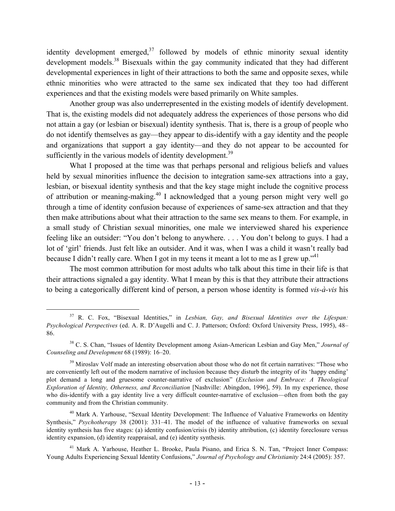identity development emerged, $37$  followed by models of ethnic minority sexual identity development models.<sup>38</sup> Bisexuals within the gay community indicated that they had different developmental experiences in light of their attractions to both the same and opposite sexes, while ethnic minorities who were attracted to the same sex indicated that they too had different experiences and that the existing models were based primarily on White samples.

Another group was also underrepresented in the existing models of identify development. That is, the existing models did not adequately address the experiences of those persons who did not attain a gay (or lesbian or bisexual) identity synthesis. That is, there is a group of people who do not identify themselves as gay—they appear to dis-identify with a gay identity and the people and organizations that support a gay identity—and they do not appear to be accounted for sufficiently in the various models of identity development.<sup>39</sup>

What I proposed at the time was that perhaps personal and religious beliefs and values held by sexual minorities influence the decision to integration same-sex attractions into a gay, lesbian, or bisexual identity synthesis and that the key stage might include the cognitive process of attribution or meaning-making.<sup>40</sup> I acknowledged that a young person might very well go through a time of identity confusion because of experiences of same-sex attraction and that they then make attributions about what their attraction to the same sex means to them. For example, in a small study of Christian sexual minorities, one male we interviewed shared his experience feeling like an outsider: "You don't belong to anywhere. . . . You don't belong to guys. I had a lot of 'girl' friends. Just felt like an outsider. And it was, when I was a child it wasn't really bad because I didn't really care. When I got in my teens it meant a lot to me as I grew up."<sup>41</sup>

The most common attribution for most adults who talk about this time in their life is that their attractions signaled a gay identity. What I mean by this is that they attribute their attractions to being a categorically different kind of person, a person whose identity is formed *vis-à-vis* his

 <sup>37</sup> R. C. Fox, "Bisexual Identities," in *Lesbian, Gay, and Bisexual Identities over the Lifespan: Psychological Perspectives* (ed. A. R. D'Augelli and C. J. Patterson; Oxford: Oxford University Press, 1995), 48– 86.

<sup>38</sup> C. S. Chan, "Issues of Identity Development among Asian-American Lesbian and Gay Men," *Journal of Counseling and Development* 68 (1989): 16–20.

<sup>&</sup>lt;sup>39</sup> Miroslav Volf made an interesting observation about those who do not fit certain narratives: "Those who are conveniently left out of the modern narrative of inclusion because they disturb the integrity of its 'happy ending' plot demand a long and gruesome counter-narrative of exclusion" (*Exclusion and Embrace: A Theological Exploration of Identity, Otherness, and Reconciliation* [Nashville: Abingdon, 1996], 59). In my experience, those who dis-identify with a gay identity live a very difficult counter-narrative of exclusion—often from both the gay community and from the Christian community.

<sup>&</sup>lt;sup>40</sup> Mark A. Yarhouse, "Sexual Identity Development: The Influence of Valuative Frameworks on Identity Synthesis," *Psychotherapy* 38 (2001): 331–41. The model of the influence of valuative frameworks on sexual identity synthesis has five stages: (a) identity confusion/crisis (b) identity attribution, (c) identity foreclosure versus identity expansion, (d) identity reappraisal, and (e) identity synthesis.

<sup>&</sup>lt;sup>41</sup> Mark A. Yarhouse, Heather L. Brooke, Paula Pisano, and Erica S. N. Tan, "Project Inner Compass: Young Adults Experiencing Sexual Identity Confusions," *Journal of Psychology and Christianity* 24:4 (2005): 357.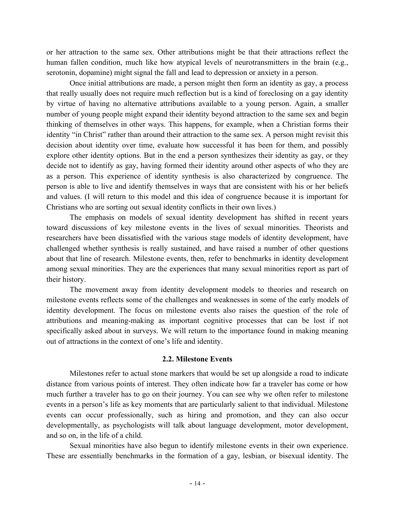or her attraction to the same sex. Other attributions might be that their attractions reflect the human fallen condition, much like how atypical levels of neurotransmitters in the brain (e.g., serotonin, dopamine) might signal the fall and lead to depression or anxiety in a person.

Once initial attributions are made, a person might then form an identity as gay, a process that really usually does not require much reflection but is a kind of foreclosing on a gay identity by virtue of having no alternative attributions available to a young person. Again, a smaller number of young people might expand their identity beyond attraction to the same sex and begin thinking of themselves in other ways. This happens, for example, when a Christian forms their identity "in Christ" rather than around their attraction to the same sex. A person might revisit this decision about identity over time, evaluate how successful it has been for them, and possibly explore other identity options. But in the end a person synthesizes their identity as gay, or they decide not to identify as gay, having formed their identity around other aspects of who they are as a person. This experience of identity synthesis is also characterized by congruence. The person is able to live and identify themselves in ways that are consistent with his or her beliefs and values. (I will return to this model and this idea of congruence because it is important for Christians who are sorting out sexual identity conflicts in their own lives.)

The emphasis on models of sexual identity development has shifted in recent years toward discussions of key milestone events in the lives of sexual minorities. Theorists and researchers have been dissatisfied with the various stage models of identity development, have challenged whether synthesis is really sustained, and have raised a number of other questions about that line of research. Milestone events, then, refer to benchmarks in identity development among sexual minorities. They are the experiences that many sexual minorities report as part of their history.

The movement away from identity development models to theories and research on milestone events reflects some of the challenges and weaknesses in some of the early models of identity development. The focus on milestone events also raises the question of the role of attributions and meaning-making as important cognitive processes that can be lost if not specifically asked about in surveys. We will return to the importance found in making meaning out of attractions in the context of one's life and identity.

#### **2.2. Milestone Events**

Milestones refer to actual stone markers that would be set up alongside a road to indicate distance from various points of interest. They often indicate how far a traveler has come or how much further a traveler has to go on their journey. You can see why we often refer to milestone events in a person's life as key moments that are particularly salient to that individual. Milestone events can occur professionally, such as hiring and promotion, and they can also occur developmentally, as psychologists will talk about language development, motor development, and so on, in the life of a child.

Sexual minorities have also begun to identify milestone events in their own experience. These are essentially benchmarks in the formation of a gay, lesbian, or bisexual identity. The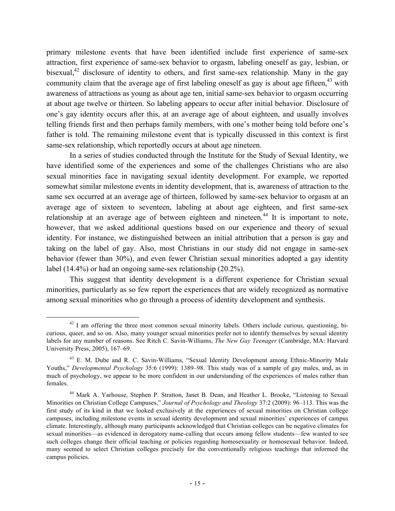primary milestone events that have been identified include first experience of same-sex attraction, first experience of same-sex behavior to orgasm, labeling oneself as gay, lesbian, or bisexual,<sup>42</sup> disclosure of identity to others, and first same-sex relationship. Many in the gay community claim that the average age of first labeling oneself as gay is about age fifteen,  $43$  with awareness of attractions as young as about age ten, initial same-sex behavior to orgasm occurring at about age twelve or thirteen. So labeling appears to occur after initial behavior. Disclosure of one's gay identity occurs after this, at an average age of about eighteen, and usually involves telling friends first and then perhaps family members, with one's mother being told before one's father is told. The remaining milestone event that is typically discussed in this context is first same-sex relationship, which reportedly occurs at about age nineteen.

In a series of studies conducted through the Institute for the Study of Sexual Identity, we have identified some of the experiences and some of the challenges Christians who are also sexual minorities face in navigating sexual identity development. For example, we reported somewhat similar milestone events in identity development, that is, awareness of attraction to the same sex occurred at an average age of thirteen, followed by same-sex behavior to orgasm at an average age of sixteen to seventeen, labeling at about age eighteen, and first same-sex relationship at an average age of between eighteen and nineteen.<sup>44</sup> It is important to note, however, that we asked additional questions based on our experience and theory of sexual identity. For instance, we distinguished between an initial attribution that a person is gay and taking on the label of gay. Also, most Christians in our study did not engage in same-sex behavior (fewer than 30%), and even fewer Christian sexual minorities adopted a gay identity label (14.4%) or had an ongoing same-sex relationship (20.2%).

This suggest that identity development is a different experience for Christian sexual minorities, particularly as so few report the experiences that are widely recognized as normative among sexual minorities who go through a process of identity development and synthesis.

 $42$  I am offering the three most common sexual minority labels. Others include curious, questioning, bicurious, queer, and so on. Also, many younger sexual minorities prefer not to identify themselves by sexual identity labels for any number of reasons. See Ritch C. Savin-Williams, *The New Gay Teenager* (Cambridge, MA: Harvard University Press, 2005), 167–69.

<sup>&</sup>lt;sup>43</sup> E. M. Dube and R. C. Savin-Williams, "Sexual Identity Development among Ethnic-Minority Male Youths," *Developmental Psychology* 35:6 (1999): 1389–98. This study was of a sample of gay males, and, as in much of psychology, we appear to be more confident in our understanding of the experiences of males rather than females.

<sup>44</sup> Mark A. Yarhouse, Stephen P. Stratton, Janet B. Dean, and Heather L. Brooke, "Listening to Sexual Minorities on Christian College Campuses," *Journal of Psychology and Theology* 37:2 (2009): 96–113. This was the first study of its kind in that we looked exclusively at the experiences of sexual minorities on Christian college campuses, including milestone events in sexual identity development and sexual minorities' experiences of campus climate. Interestingly, although many participants acknowledged that Christian colleges can be negative climates for sexual minorities—as evidenced in derogatory name-calling that occurs among fellow students—few wanted to see such colleges change their official teaching or policies regarding homosexuality or homosexual behavior. Indeed, many seemed to select Christian colleges precisely for the conventionally religious teachings that informed the campus policies.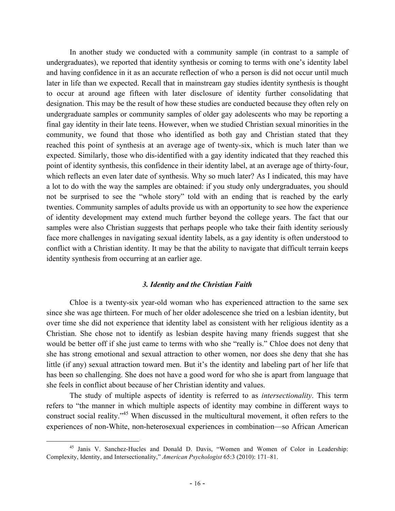In another study we conducted with a community sample (in contrast to a sample of undergraduates), we reported that identity synthesis or coming to terms with one's identity label and having confidence in it as an accurate reflection of who a person is did not occur until much later in life than we expected. Recall that in mainstream gay studies identity synthesis is thought to occur at around age fifteen with later disclosure of identity further consolidating that designation. This may be the result of how these studies are conducted because they often rely on undergraduate samples or community samples of older gay adolescents who may be reporting a final gay identity in their late teens. However, when we studied Christian sexual minorities in the community, we found that those who identified as both gay and Christian stated that they reached this point of synthesis at an average age of twenty-six, which is much later than we expected. Similarly, those who dis-identified with a gay identity indicated that they reached this point of identity synthesis, this confidence in their identity label, at an average age of thirty-four, which reflects an even later date of synthesis. Why so much later? As I indicated, this may have a lot to do with the way the samples are obtained: if you study only undergraduates, you should not be surprised to see the "whole story" told with an ending that is reached by the early twenties. Community samples of adults provide us with an opportunity to see how the experience of identity development may extend much further beyond the college years. The fact that our samples were also Christian suggests that perhaps people who take their faith identity seriously face more challenges in navigating sexual identity labels, as a gay identity is often understood to conflict with a Christian identity. It may be that the ability to navigate that difficult terrain keeps identity synthesis from occurring at an earlier age.

#### *3. Identity and the Christian Faith*

Chloe is a twenty-six year-old woman who has experienced attraction to the same sex since she was age thirteen. For much of her older adolescence she tried on a lesbian identity, but over time she did not experience that identity label as consistent with her religious identity as a Christian. She chose not to identify as lesbian despite having many friends suggest that she would be better off if she just came to terms with who she "really is." Chloe does not deny that she has strong emotional and sexual attraction to other women, nor does she deny that she has little (if any) sexual attraction toward men. But it's the identity and labeling part of her life that has been so challenging. She does not have a good word for who she is apart from language that she feels in conflict about because of her Christian identity and values.

The study of multiple aspects of identity is referred to as *intersectionality*. This term refers to "the manner in which multiple aspects of identity may combine in different ways to construct social reality."<sup>45</sup> When discussed in the multicultural movement, it often refers to the experiences of non-White, non-heterosexual experiences in combination—so African American

<sup>&</sup>lt;sup>45</sup> Janis V. Sanchez-Hucles and Donald D. Davis, "Women and Women of Color in Leadership: Complexity, Identity, and Intersectionality," *American Psychologist* 65:3 (2010): 171–81.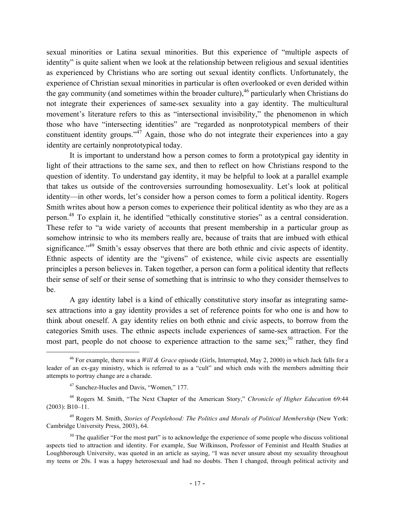sexual minorities or Latina sexual minorities. But this experience of "multiple aspects of identity" is quite salient when we look at the relationship between religious and sexual identities as experienced by Christians who are sorting out sexual identity conflicts. Unfortunately, the experience of Christian sexual minorities in particular is often overlooked or even derided within the gay community (and sometimes within the broader culture),  $46$  particularly when Christians do not integrate their experiences of same-sex sexuality into a gay identity. The multicultural movement's literature refers to this as "intersectional invisibility," the phenomenon in which those who have "intersecting identities" are "regarded as nonprototypical members of their constituent identity groups."<sup>47</sup> Again, those who do not integrate their experiences into a gay identity are certainly nonprototypical today.

It is important to understand how a person comes to form a prototypical gay identity in light of their attractions to the same sex, and then to reflect on how Christians respond to the question of identity. To understand gay identity, it may be helpful to look at a parallel example that takes us outside of the controversies surrounding homosexuality. Let's look at political identity—in other words, let's consider how a person comes to form a political identity. Rogers Smith writes about how a person comes to experience their political identity as who they are as a person.<sup>48</sup> To explain it, he identified "ethically constitutive stories" as a central consideration. These refer to "a wide variety of accounts that present membership in a particular group as somehow intrinsic to who its members really are, because of traits that are imbued with ethical significance."<sup>49</sup> Smith's essay observes that there are both ethnic and civic aspects of identity. Ethnic aspects of identity are the "givens" of existence, while civic aspects are essentially principles a person believes in. Taken together, a person can form a political identity that reflects their sense of self or their sense of something that is intrinsic to who they consider themselves to be.

A gay identity label is a kind of ethically constitutive story insofar as integrating samesex attractions into a gay identity provides a set of reference points for who one is and how to think about oneself. A gay identity relies on both ethnic and civic aspects, to borrow from the categories Smith uses. The ethnic aspects include experiences of same-sex attraction. For the most part, people do not choose to experience attraction to the same sex;<sup>50</sup> rather, they find

 <sup>46</sup> For example, there was a *Will & Grace* episode (Girls, Interrupted, May 2, 2000) in which Jack falls for a leader of an ex-gay ministry, which is referred to as a "cult" and which ends with the members admitting their attempts to portray change are a charade.

<sup>47</sup> Sanchez-Hucles and Davis, "Women," 177.

<sup>48</sup> Rogers M. Smith, "The Next Chapter of the American Story," *Chronicle of Higher Education* 69:44 (2003): B10–11.

<sup>49</sup> Rogers M. Smith, *Stories of Peoplehood: The Politics and Morals of Political Membership* (New York: Cambridge University Press, 2003), 64.

<sup>&</sup>lt;sup>50</sup> The qualifier "For the most part" is to acknowledge the experience of some people who discuss volitional aspects tied to attraction and identity. For example, Sue Wilkinson, Professor of Feminist and Health Studies at Loughborough University, was quoted in an article as saying, "I was never unsure about my sexuality throughout my teens or 20s. I was a happy heterosexual and had no doubts. Then I changed, through political activity and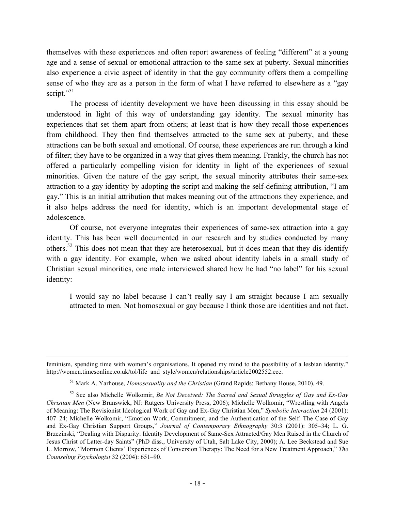themselves with these experiences and often report awareness of feeling "different" at a young age and a sense of sexual or emotional attraction to the same sex at puberty. Sexual minorities also experience a civic aspect of identity in that the gay community offers them a compelling sense of who they are as a person in the form of what I have referred to elsewhere as a "gay script."<sup>51</sup>

The process of identity development we have been discussing in this essay should be understood in light of this way of understanding gay identity. The sexual minority has experiences that set them apart from others; at least that is how they recall those experiences from childhood. They then find themselves attracted to the same sex at puberty, and these attractions can be both sexual and emotional. Of course, these experiences are run through a kind of filter; they have to be organized in a way that gives them meaning. Frankly, the church has not offered a particularly compelling vision for identity in light of the experiences of sexual minorities. Given the nature of the gay script, the sexual minority attributes their same-sex attraction to a gay identity by adopting the script and making the self-defining attribution, "I am gay." This is an initial attribution that makes meaning out of the attractions they experience, and it also helps address the need for identity, which is an important developmental stage of adolescence.

Of course, not everyone integrates their experiences of same-sex attraction into a gay identity. This has been well documented in our research and by studies conducted by many others.<sup>52</sup> This does not mean that they are heterosexual, but it does mean that they dis-identify with a gay identity. For example, when we asked about identity labels in a small study of Christian sexual minorities, one male interviewed shared how he had "no label" for his sexual identity:

I would say no label because I can't really say I am straight because I am sexually attracted to men. Not homosexual or gay because I think those are identities and not fact.

 $\overline{a}$ 

feminism, spending time with women's organisations. It opened my mind to the possibility of a lesbian identity." http://women.timesonline.co.uk/tol/life\_and\_style/women/relationships/article2002552.ece.

<sup>51</sup> Mark A. Yarhouse, *Homosexuality and the Christian* (Grand Rapids: Bethany House, 2010), 49.

<sup>52</sup> See also Michelle Wolkomir, *Be Not Deceived: The Sacred and Sexual Struggles of Gay and Ex-Gay Christian Men* (New Brunswick, NJ: Rutgers University Press, 2006); Michelle Wolkomir, "Wrestling with Angels of Meaning: The Revisionist Ideological Work of Gay and Ex-Gay Christian Men," *Symbolic Interaction* 24 (2001): 407–24; Michelle Wolkomir, "Emotion Work, Commitment, and the Authentication of the Self: The Case of Gay and Ex-Gay Christian Support Groups," *Journal of Contemporary Ethnography* 30:3 (2001): 305–34; L. G. Brzezinski, "Dealing with Disparity: Identity Development of Same-Sex Attracted/Gay Men Raised in the Church of Jesus Christ of Latter-day Saints" (PhD diss., University of Utah, Salt Lake City, 2000); A. Lee Beckstead and Sue L. Morrow, "Mormon Clients' Experiences of Conversion Therapy: The Need for a New Treatment Approach," *The Counseling Psychologist* 32 (2004): 651–90.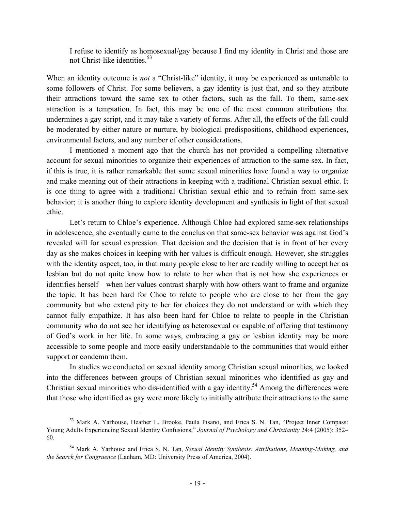I refuse to identify as homosexual/gay because I find my identity in Christ and those are not Christ-like identities.<sup>53</sup>

When an identity outcome is *not* a "Christ-like" identity, it may be experienced as untenable to some followers of Christ. For some believers, a gay identity is just that, and so they attribute their attractions toward the same sex to other factors, such as the fall. To them, same-sex attraction is a temptation. In fact, this may be one of the most common attributions that undermines a gay script, and it may take a variety of forms. After all, the effects of the fall could be moderated by either nature or nurture, by biological predispositions, childhood experiences, environmental factors, and any number of other considerations.

I mentioned a moment ago that the church has not provided a compelling alternative account for sexual minorities to organize their experiences of attraction to the same sex. In fact, if this is true, it is rather remarkable that some sexual minorities have found a way to organize and make meaning out of their attractions in keeping with a traditional Christian sexual ethic. It is one thing to agree with a traditional Christian sexual ethic and to refrain from same-sex behavior; it is another thing to explore identity development and synthesis in light of that sexual ethic.

Let's return to Chloe's experience. Although Chloe had explored same-sex relationships in adolescence, she eventually came to the conclusion that same-sex behavior was against God's revealed will for sexual expression. That decision and the decision that is in front of her every day as she makes choices in keeping with her values is difficult enough. However, she struggles with the identity aspect, too, in that many people close to her are readily willing to accept her as lesbian but do not quite know how to relate to her when that is not how she experiences or identifies herself—when her values contrast sharply with how others want to frame and organize the topic. It has been hard for Choe to relate to people who are close to her from the gay community but who extend pity to her for choices they do not understand or with which they cannot fully empathize. It has also been hard for Chloe to relate to people in the Christian community who do not see her identifying as heterosexual or capable of offering that testimony of God's work in her life. In some ways, embracing a gay or lesbian identity may be more accessible to some people and more easily understandable to the communities that would either support or condemn them.

In studies we conducted on sexual identity among Christian sexual minorities, we looked into the differences between groups of Christian sexual minorities who identified as gay and Christian sexual minorities who dis-identified with a gay identity.<sup>54</sup> Among the differences were that those who identified as gay were more likely to initially attribute their attractions to the same

 <sup>53</sup> Mark A. Yarhouse, Heather L. Brooke, Paula Pisano, and Erica S. N. Tan, "Project Inner Compass: Young Adults Experiencing Sexual Identity Confusions," *Journal of Psychology and Christianity* 24:4 (2005): 352– 60.

<sup>54</sup> Mark A. Yarhouse and Erica S. N. Tan, *Sexual Identity Synthesis: Attributions, Meaning-Making, and the Search for Congruence* (Lanham, MD: University Press of America, 2004).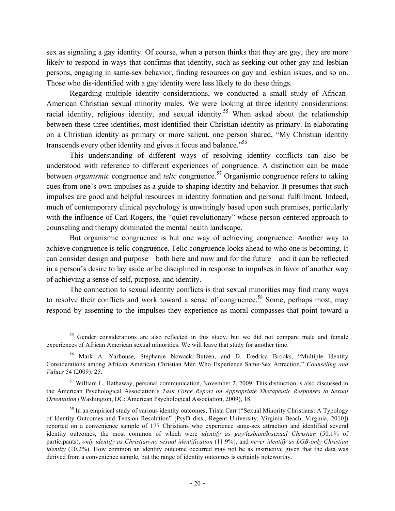sex as signaling a gay identity. Of course, when a person thinks that they are gay, they are more likely to respond in ways that confirms that identity, such as seeking out other gay and lesbian persons, engaging in same-sex behavior, finding resources on gay and lesbian issues, and so on. Those who dis-identified with a gay identity were less likely to do these things.

Regarding multiple identity considerations, we conducted a small study of African-American Christian sexual minority males. We were looking at three identity considerations: racial identity, religious identity, and sexual identity.<sup>55</sup> When asked about the relationship between these three identities, most identified their Christian identity as primary. In elaborating on a Christian identity as primary or more salient, one person shared, "My Christian identity transcends every other identity and gives it focus and balance.<sup>556</sup>

This understanding of different ways of resolving identity conflicts can also be understood with reference to different experiences of congruence. A distinction can be made between *organismic* congruence and *telic* congruence.<sup>57</sup> Organismic congruence refers to taking cues from one's own impulses as a guide to shaping identity and behavior. It presumes that such impulses are good and helpful resources in identity formation and personal fulfillment. Indeed, much of contemporary clinical psychology is unwittingly based upon such premises, particularly with the influence of Carl Rogers, the "quiet revolutionary" whose person-centered approach to counseling and therapy dominated the mental health landscape.

But organismic congruence is but one way of achieving congruence. Another way to achieve congruence is telic congruence. Telic congruence looks ahead to who one is becoming. It can consider design and purpose—both here and now and for the future—and it can be reflected in a person's desire to lay aside or be disciplined in response to impulses in favor of another way of achieving a sense of self, purpose, and identity.

The connection to sexual identity conflicts is that sexual minorities may find many ways to resolve their conflicts and work toward a sense of congruence.<sup>58</sup> Some, perhaps most, may respond by assenting to the impulses they experience as moral compasses that point toward a

<sup>&</sup>lt;sup>55</sup> Gender considerations are also reflected in this study, but we did not compare male and female experiences of African American sexual minorities. We will leave that study for another time.

<sup>56</sup> Mark A. Yarhouse, Stephanie Nowacki-Butzen, and D. Fredrica Brooks, "Multiple Identity Considerations among African American Christian Men Who Experience Same-Sex Attraction," *Counseling and Values* 54 (2009): 25.

<sup>&</sup>lt;sup>57</sup> William L. Hathaway, personal communication, November 2, 2009. This distinction is also discussed in the American Psychological Association's *Task Force Report on Appropriate Therapeutic Responses to Sexual Orientation* (Washington, DC: American Psychological Association, 2009), 18.

<sup>&</sup>lt;sup>58</sup> In an empirical study of various identity outcomes, Trista Carr ("Sexual Minority Christians: A Typology of Identity Outcomes and Tension Resolution" [PsyD diss., Regent University, Virginia Beach, Virginia, 2010]) reported on a convenience sample of 177 Christians who experience same-sex attraction and identified several identity outcomes, the most common of which were *identify as gay/lesbian/bisexual Christian* (50.1% of participants), *only identify as Christian-no sexual identification* (11.9%), and *never identify as LGB-only Christian identity* (10.2%). How common an identity outcome occurred may not be as instructive given that the data was derived from a convenience sample, but the range of identity outcomes is certainly noteworthy.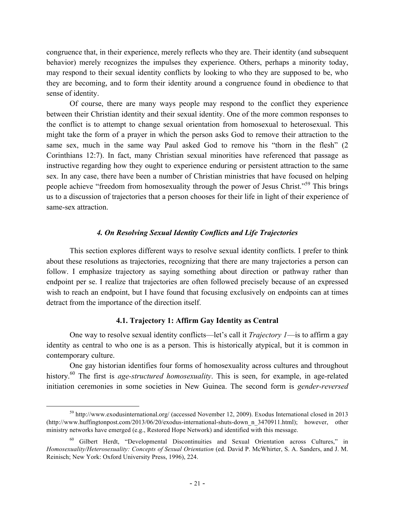congruence that, in their experience, merely reflects who they are. Their identity (and subsequent behavior) merely recognizes the impulses they experience. Others, perhaps a minority today, may respond to their sexual identity conflicts by looking to who they are supposed to be, who they are becoming, and to form their identity around a congruence found in obedience to that sense of identity.

Of course, there are many ways people may respond to the conflict they experience between their Christian identity and their sexual identity. One of the more common responses to the conflict is to attempt to change sexual orientation from homosexual to heterosexual. This might take the form of a prayer in which the person asks God to remove their attraction to the same sex, much in the same way Paul asked God to remove his "thorn in the flesh" (2 Corinthians 12:7). In fact, many Christian sexual minorities have referenced that passage as instructive regarding how they ought to experience enduring or persistent attraction to the same sex. In any case, there have been a number of Christian ministries that have focused on helping people achieve "freedom from homosexuality through the power of Jesus Christ."<sup>59</sup> This brings us to a discussion of trajectories that a person chooses for their life in light of their experience of same-sex attraction.

# *4. On Resolving Sexual Identity Conflicts and Life Trajectories*

This section explores different ways to resolve sexual identity conflicts. I prefer to think about these resolutions as trajectories, recognizing that there are many trajectories a person can follow. I emphasize trajectory as saying something about direction or pathway rather than endpoint per se. I realize that trajectories are often followed precisely because of an expressed wish to reach an endpoint, but I have found that focusing exclusively on endpoints can at times detract from the importance of the direction itself.

# **4.1. Trajectory 1: Affirm Gay Identity as Central**

One way to resolve sexual identity conflicts—let's call it *Trajectory 1*—is to affirm a gay identity as central to who one is as a person. This is historically atypical, but it is common in contemporary culture.

One gay historian identifies four forms of homosexuality across cultures and throughout history.<sup>60</sup> The first is *age-structured homosexuality*. This is seen, for example, in age-related initiation ceremonies in some societies in New Guinea. The second form is *gender-reversed* 

 <sup>59</sup> http://www.exodusinternational.org/ (accessed November 12, 2009). Exodus International closed in 2013 (http://www.huffingtonpost.com/2013/06/20/exodus-international-shuts-down\_n\_3470911.html); however, other ministry networks have emerged (e.g., Restored Hope Network) and identified with this message.

<sup>60</sup> Gilbert Herdt, "Developmental Discontinuities and Sexual Orientation across Cultures," in *Homosexuality/Heterosexuality: Concepts of Sexual Orientation* (ed. David P. McWhirter, S. A. Sanders, and J. M. Reinisch; New York: Oxford University Press, 1996), 224.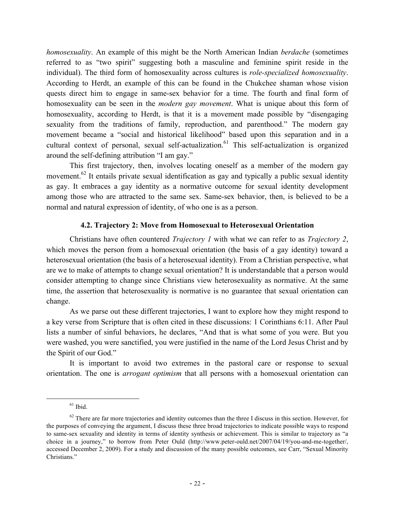*homosexuality*. An example of this might be the North American Indian *berdache* (sometimes referred to as "two spirit" suggesting both a masculine and feminine spirit reside in the individual). The third form of homosexuality across cultures is *role-specialized homosexuality*. According to Herdt, an example of this can be found in the Chukchee shaman whose vision quests direct him to engage in same-sex behavior for a time. The fourth and final form of homosexuality can be seen in the *modern gay movement*. What is unique about this form of homosexuality, according to Herdt, is that it is a movement made possible by "disengaging sexuality from the traditions of family, reproduction, and parenthood." The modern gay movement became a "social and historical likelihood" based upon this separation and in a cultural context of personal, sexual self-actualization.<sup>61</sup> This self-actualization is organized around the self-defining attribution "I am gay."

This first trajectory, then, involves locating oneself as a member of the modern gay movement.<sup>62</sup> It entails private sexual identification as gay and typically a public sexual identity as gay. It embraces a gay identity as a normative outcome for sexual identity development among those who are attracted to the same sex. Same-sex behavior, then, is believed to be a normal and natural expression of identity, of who one is as a person.

# **4.2. Trajectory 2: Move from Homosexual to Heterosexual Orientation**

Christians have often countered *Trajectory 1* with what we can refer to as *Trajectory 2*, which moves the person from a homosexual orientation (the basis of a gay identity) toward a heterosexual orientation (the basis of a heterosexual identity). From a Christian perspective, what are we to make of attempts to change sexual orientation? It is understandable that a person would consider attempting to change since Christians view heterosexuality as normative. At the same time, the assertion that heterosexuality is normative is no guarantee that sexual orientation can change.

As we parse out these different trajectories, I want to explore how they might respond to a key verse from Scripture that is often cited in these discussions: 1 Corinthians 6:11. After Paul lists a number of sinful behaviors, he declares, "And that is what some of you were. But you were washed, you were sanctified, you were justified in the name of the Lord Jesus Christ and by the Spirit of our God."

It is important to avoid two extremes in the pastoral care or response to sexual orientation. The one is *arrogant optimism* that all persons with a homosexual orientation can

 $61$  Ibid.

 $62$  There are far more trajectories and identity outcomes than the three I discuss in this section. However, for the purposes of conveying the argument, I discuss these three broad trajectories to indicate possible ways to respond to same-sex sexuality and identity in terms of identity synthesis or achievement. This is similar to trajectory as "a choice in a journey," to borrow from Peter Ould (http://www.peter-ould.net/2007/04/19/you-and-me-together/, accessed December 2, 2009). For a study and discussion of the many possible outcomes, see Carr, "Sexual Minority Christians."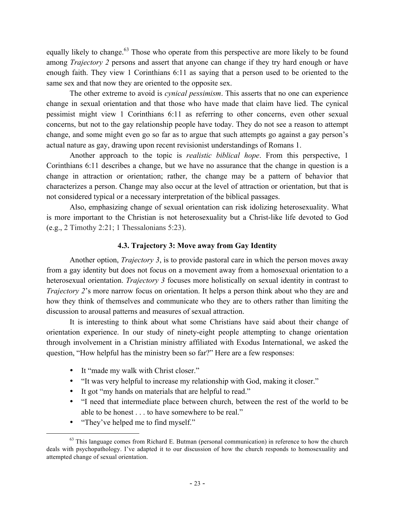equally likely to change.<sup>63</sup> Those who operate from this perspective are more likely to be found among *Trajectory 2* persons and assert that anyone can change if they try hard enough or have enough faith. They view 1 Corinthians 6:11 as saying that a person used to be oriented to the same sex and that now they are oriented to the opposite sex.

The other extreme to avoid is *cynical pessimism*. This asserts that no one can experience change in sexual orientation and that those who have made that claim have lied. The cynical pessimist might view 1 Corinthians 6:11 as referring to other concerns, even other sexual concerns, but not to the gay relationship people have today. They do not see a reason to attempt change, and some might even go so far as to argue that such attempts go against a gay person's actual nature as gay, drawing upon recent revisionist understandings of Romans 1.

Another approach to the topic is *realistic biblical hope*. From this perspective, 1 Corinthians 6:11 describes a change, but we have no assurance that the change in question is a change in attraction or orientation; rather, the change may be a pattern of behavior that characterizes a person. Change may also occur at the level of attraction or orientation, but that is not considered typical or a necessary interpretation of the biblical passages.

Also, emphasizing change of sexual orientation can risk idolizing heterosexuality. What is more important to the Christian is not heterosexuality but a Christ-like life devoted to God (e.g., 2 Timothy 2:21; 1 Thessalonians 5:23).

# **4.3. Trajectory 3: Move away from Gay Identity**

Another option, *Trajectory 3*, is to provide pastoral care in which the person moves away from a gay identity but does not focus on a movement away from a homosexual orientation to a heterosexual orientation. *Trajectory 3* focuses more holistically on sexual identity in contrast to *Trajectory 2*'s more narrow focus on orientation. It helps a person think about who they are and how they think of themselves and communicate who they are to others rather than limiting the discussion to arousal patterns and measures of sexual attraction.

It is interesting to think about what some Christians have said about their change of orientation experience. In our study of ninety-eight people attempting to change orientation through involvement in a Christian ministry affiliated with Exodus International, we asked the question, "How helpful has the ministry been so far?" Here are a few responses:

- It "made my walk with Christ closer."
- "It was very helpful to increase my relationship with God, making it closer."
- It got "my hands on materials that are helpful to read."
- "I need that intermediate place between church, between the rest of the world to be able to be honest . . . to have somewhere to be real."
- "They've helped me to find myself."

<sup>&</sup>lt;sup>63</sup> This language comes from Richard E. Butman (personal communication) in reference to how the church deals with psychopathology. I've adapted it to our discussion of how the church responds to homosexuality and attempted change of sexual orientation.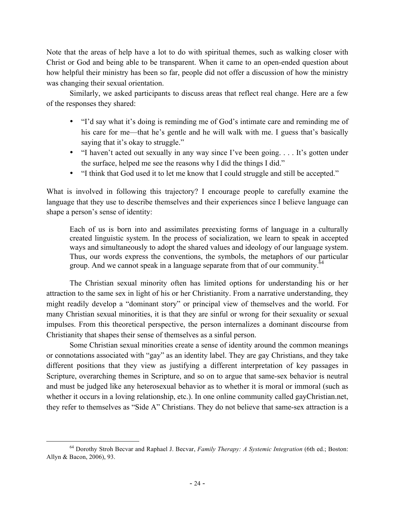Note that the areas of help have a lot to do with spiritual themes, such as walking closer with Christ or God and being able to be transparent. When it came to an open-ended question about how helpful their ministry has been so far, people did not offer a discussion of how the ministry was changing their sexual orientation.

Similarly, we asked participants to discuss areas that reflect real change. Here are a few of the responses they shared:

- "I'd say what it's doing is reminding me of God's intimate care and reminding me of his care for me—that he's gentle and he will walk with me. I guess that's basically saying that it's okay to struggle."
- "I haven't acted out sexually in any way since I've been going.... It's gotten under the surface, helped me see the reasons why I did the things I did."
- "I think that God used it to let me know that I could struggle and still be accepted."

What is involved in following this trajectory? I encourage people to carefully examine the language that they use to describe themselves and their experiences since I believe language can shape a person's sense of identity:

Each of us is born into and assimilates preexisting forms of language in a culturally created linguistic system. In the process of socialization, we learn to speak in accepted ways and simultaneously to adopt the shared values and ideology of our language system. Thus, our words express the conventions, the symbols, the metaphors of our particular group. And we cannot speak in a language separate from that of our community. $64$ 

The Christian sexual minority often has limited options for understanding his or her attraction to the same sex in light of his or her Christianity. From a narrative understanding, they might readily develop a "dominant story" or principal view of themselves and the world. For many Christian sexual minorities, it is that they are sinful or wrong for their sexuality or sexual impulses. From this theoretical perspective, the person internalizes a dominant discourse from Christianity that shapes their sense of themselves as a sinful person.

Some Christian sexual minorities create a sense of identity around the common meanings or connotations associated with "gay" as an identity label. They are gay Christians, and they take different positions that they view as justifying a different interpretation of key passages in Scripture, overarching themes in Scripture, and so on to argue that same-sex behavior is neutral and must be judged like any heterosexual behavior as to whether it is moral or immoral (such as whether it occurs in a loving relationship, etc.). In one online community called gayChristian.net, they refer to themselves as "Side A" Christians. They do not believe that same-sex attraction is a

 <sup>64</sup> Dorothy Stroh Becvar and Raphael J. Becvar, *Family Therapy: A Systemic Integration* (6th ed.; Boston: Allyn & Bacon, 2006), 93.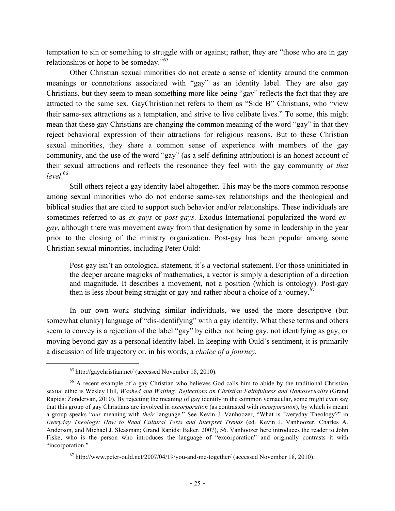temptation to sin or something to struggle with or against; rather, they are "those who are in gay relationships or hope to be someday."65

Other Christian sexual minorities do not create a sense of identity around the common meanings or connotations associated with "gay" as an identity label. They are also gay Christians, but they seem to mean something more like being "gay" reflects the fact that they are attracted to the same sex. GayChristian.net refers to them as "Side B" Christians, who "view their same-sex attractions as a temptation, and strive to live celibate lives." To some, this might mean that these gay Christians are changing the common meaning of the word "gay" in that they reject behavioral expression of their attractions for religious reasons. But to these Christian sexual minorities, they share a common sense of experience with members of the gay community, and the use of the word "gay" (as a self-defining attribution) is an honest account of their sexual attractions and reflects the resonance they feel with the gay community *at that level*. 66

Still others reject a gay identity label altogether. This may be the more common response among sexual minorities who do not endorse same-sex relationships and the theological and biblical studies that are cited to support such behavior and/or relationships. These individuals are sometimes referred to as *ex-gays* or *post-gays*. Exodus International popularized the word *exgay*, although there was movement away from that designation by some in leadership in the year prior to the closing of the ministry organization. Post-gay has been popular among some Christian sexual minorities, including Peter Ould:

Post-gay isn't an ontological statement, it's a vectorial statement. For those uninitiated in the deeper arcane magicks of mathematics, a vector is simply a description of a direction and magnitude. It describes a movement, not a position (which is ontology). Post-gay then is less about being straight or gay and rather about a choice of a journey.<sup>6</sup>

In our own work studying similar individuals, we used the more descriptive (but somewhat clunky) language of "dis-identifying" with a gay identity. What these terms and others seem to convey is a rejection of the label "gay" by either not being gay, not identifying as gay, or moving beyond gay as a personal identity label. In keeping with Ould's sentiment, it is primarily a discussion of life trajectory or, in his words, a *choice of a journey.*

 <sup>65</sup> http://gaychristian.net/ (accessed November 18, 2010).

<sup>66</sup> A recent example of a gay Christian who believes God calls him to abide by the traditional Christian sexual ethic is Wesley Hill, *Washed and Waiting: Reflections on Christian Faithfulness and Homosexuality* (Grand Rapids: Zondervan, 2010). By rejecting the meaning of gay identity in the common vernacular, some might even say that this group of gay Christians are involved in *excorporation* (as contrasted with *incorporation*), by which is meant a group speaks "*our* meaning with *their* language." See Kevin J. Vanhoozer, "What is Everyday Theology?" in *Everyday Theology: How to Read Cultural Texts and Interpret Trends* (ed. Kevin J. Vanhoozer, Charles A. Anderson, and Michael J. Sleasman; Grand Rapids: Baker, 2007), 56. Vanhoozer here introduces the reader to John Fiske, who is the person who introduces the language of "excorporation" and originally contrasts it with "incorporation."

 $67$  http://www.peter-ould.net/2007/04/19/you-and-me-together/ (accessed November 18, 2010).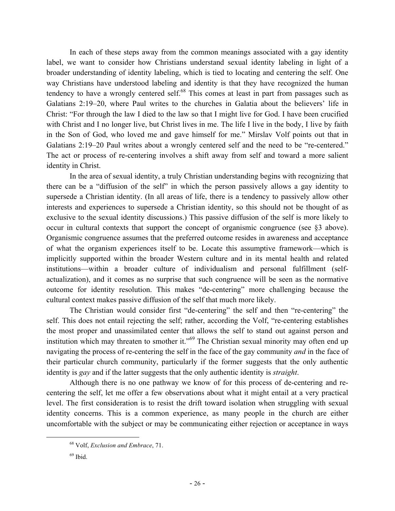In each of these steps away from the common meanings associated with a gay identity label, we want to consider how Christians understand sexual identity labeling in light of a broader understanding of identity labeling, which is tied to locating and centering the self. One way Christians have understood labeling and identity is that they have recognized the human tendency to have a wrongly centered self.<sup>68</sup> This comes at least in part from passages such as Galatians 2:19–20, where Paul writes to the churches in Galatia about the believers' life in Christ: "For through the law I died to the law so that I might live for God. I have been crucified with Christ and I no longer live, but Christ lives in me. The life I live in the body, I live by faith in the Son of God, who loved me and gave himself for me." Mirslav Volf points out that in Galatians 2:19–20 Paul writes about a wrongly centered self and the need to be "re-centered." The act or process of re-centering involves a shift away from self and toward a more salient identity in Christ.

In the area of sexual identity, a truly Christian understanding begins with recognizing that there can be a "diffusion of the self" in which the person passively allows a gay identity to supersede a Christian identity. (In all areas of life, there is a tendency to passively allow other interests and experiences to supersede a Christian identity, so this should not be thought of as exclusive to the sexual identity discussions.) This passive diffusion of the self is more likely to occur in cultural contexts that support the concept of organismic congruence (see §3 above). Organismic congruence assumes that the preferred outcome resides in awareness and acceptance of what the organism experiences itself to be. Locate this assumptive framework—which is implicitly supported within the broader Western culture and in its mental health and related institutions—within a broader culture of individualism and personal fulfillment (selfactualization), and it comes as no surprise that such congruence will be seen as the normative outcome for identity resolution. This makes "de-centering" more challenging because the cultural context makes passive diffusion of the self that much more likely.

The Christian would consider first "de-centering" the self and then "re-centering" the self. This does not entail rejecting the self; rather, according the Volf, "re-centering establishes the most proper and unassimilated center that allows the self to stand out against person and institution which may threaten to smother it."<sup>69</sup> The Christian sexual minority may often end up navigating the process of re-centering the self in the face of the gay community *and* in the face of their particular church community, particularly if the former suggests that the only authentic identity is *gay* and if the latter suggests that the only authentic identity is *straight*.

Although there is no one pathway we know of for this process of de-centering and recentering the self, let me offer a few observations about what it might entail at a very practical level. The first consideration is to resist the drift toward isolation when struggling with sexual identity concerns. This is a common experience, as many people in the church are either uncomfortable with the subject or may be communicating either rejection or acceptance in ways

 <sup>68</sup> Volf, *Exclusion and Embrace*, 71.

 $69$  Ibid.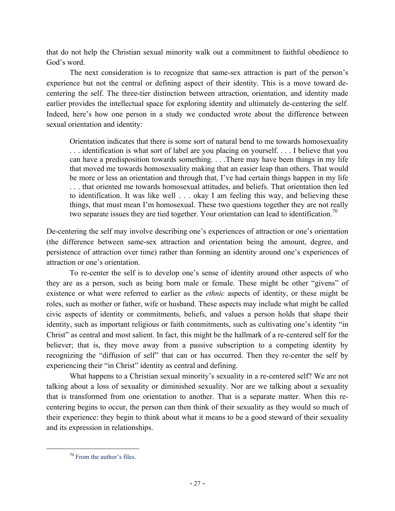that do not help the Christian sexual minority walk out a commitment to faithful obedience to God's word.

The next consideration is to recognize that same-sex attraction is part of the person's experience but not the central or defining aspect of their identity. This is a move toward decentering the self. The three-tier distinction between attraction, orientation, and identity made earlier provides the intellectual space for exploring identity and ultimately de-centering the self. Indeed, here's how one person in a study we conducted wrote about the difference between sexual orientation and identity:

Orientation indicates that there is some sort of natural bend to me towards homosexuality . . . identification is what sort of label are you placing on yourself. . . . I believe that you can have a predisposition towards something. . . .There may have been things in my life that moved me towards homosexuality making that an easier leap than others. That would be more or less an orientation and through that, I've had certain things happen in my life . . . that oriented me towards homosexual attitudes, and beliefs. That orientation then led to identification. It was like well . . . okay I am feeling this way, and believing these things, that must mean I'm homosexual. These two questions together they are not really two separate issues they are tied together. Your orientation can lead to identification.<sup>70</sup>

De-centering the self may involve describing one's experiences of attraction or one's orientation (the difference between same-sex attraction and orientation being the amount, degree, and persistence of attraction over time) rather than forming an identity around one's experiences of attraction or one's orientation.

To re-center the self is to develop one's sense of identity around other aspects of who they are as a person, such as being born male or female. These might be other "givens" of existence or what were referred to earlier as the *ethnic* aspects of identity, or these might be roles, such as mother or father, wife or husband. These aspects may include what might be called civic aspects of identity or commitments, beliefs, and values a person holds that shape their identity, such as important religious or faith commitments, such as cultivating one's identity "in Christ" as central and most salient. In fact, this might be the hallmark of a re-centered self for the believer; that is, they move away from a passive subscription to a competing identity by recognizing the "diffusion of self" that can or has occurred. Then they re-center the self by experiencing their "in Christ" identity as central and defining.

What happens to a Christian sexual minority's sexuality in a re-centered self? We are not talking about a loss of sexuality or diminished sexuality. Nor are we talking about a sexuality that is transformed from one orientation to another. That is a separate matter. When this recentering begins to occur, the person can then think of their sexuality as they would so much of their experience: they begin to think about what it means to be a good steward of their sexuality and its expression in relationships.

 <sup>70</sup> From the author's files.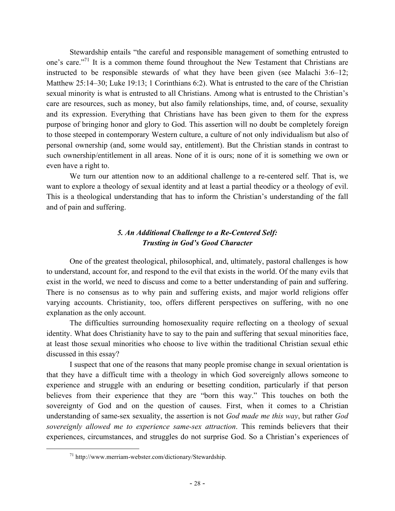Stewardship entails "the careful and responsible management of something entrusted to one's care."<sup>71</sup> It is a common theme found throughout the New Testament that Christians are instructed to be responsible stewards of what they have been given (see Malachi 3:6–12; Matthew 25:14–30; Luke 19:13; 1 Corinthians 6:2). What is entrusted to the care of the Christian sexual minority is what is entrusted to all Christians. Among what is entrusted to the Christian's care are resources, such as money, but also family relationships, time, and, of course, sexuality and its expression. Everything that Christians have has been given to them for the express purpose of bringing honor and glory to God. This assertion will no doubt be completely foreign to those steeped in contemporary Western culture, a culture of not only individualism but also of personal ownership (and, some would say, entitlement). But the Christian stands in contrast to such ownership/entitlement in all areas. None of it is ours; none of it is something we own or even have a right to.

We turn our attention now to an additional challenge to a re-centered self. That is, we want to explore a theology of sexual identity and at least a partial theodicy or a theology of evil. This is a theological understanding that has to inform the Christian's understanding of the fall and of pain and suffering.

# *5. An Additional Challenge to a Re-Centered Self: Trusting in God's Good Character*

One of the greatest theological, philosophical, and, ultimately, pastoral challenges is how to understand, account for, and respond to the evil that exists in the world. Of the many evils that exist in the world, we need to discuss and come to a better understanding of pain and suffering. There is no consensus as to why pain and suffering exists, and major world religions offer varying accounts. Christianity, too, offers different perspectives on suffering, with no one explanation as the only account.

The difficulties surrounding homosexuality require reflecting on a theology of sexual identity. What does Christianity have to say to the pain and suffering that sexual minorities face, at least those sexual minorities who choose to live within the traditional Christian sexual ethic discussed in this essay?

I suspect that one of the reasons that many people promise change in sexual orientation is that they have a difficult time with a theology in which God sovereignly allows someone to experience and struggle with an enduring or besetting condition, particularly if that person believes from their experience that they are "born this way." This touches on both the sovereignty of God and on the question of causes. First, when it comes to a Christian understanding of same-sex sexuality, the assertion is not *God made me this way*, but rather *God sovereignly allowed me to experience same-sex attraction*. This reminds believers that their experiences, circumstances, and struggles do not surprise God. So a Christian's experiences of

 $^{71}$  http://www.merriam-webster.com/dictionary/Stewardship.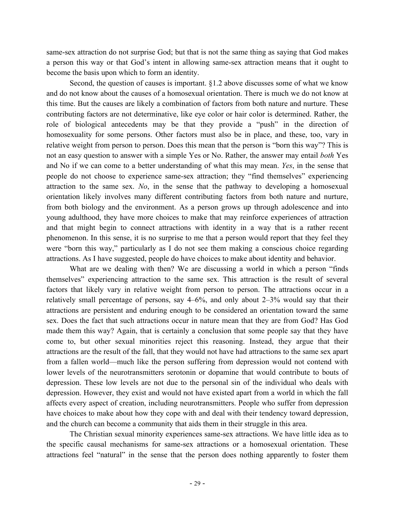same-sex attraction do not surprise God; but that is not the same thing as saying that God makes a person this way or that God's intent in allowing same-sex attraction means that it ought to become the basis upon which to form an identity.

Second, the question of causes is important. §1.2 above discusses some of what we know and do not know about the causes of a homosexual orientation. There is much we do not know at this time. But the causes are likely a combination of factors from both nature and nurture. These contributing factors are not determinative, like eye color or hair color is determined. Rather, the role of biological antecedents may be that they provide a "push" in the direction of homosexuality for some persons. Other factors must also be in place, and these, too, vary in relative weight from person to person. Does this mean that the person is "born this way"? This is not an easy question to answer with a simple Yes or No. Rather, the answer may entail *both* Yes and No if we can come to a better understanding of what this may mean. *Yes*, in the sense that people do not choose to experience same-sex attraction; they "find themselves" experiencing attraction to the same sex. *No*, in the sense that the pathway to developing a homosexual orientation likely involves many different contributing factors from both nature and nurture, from both biology and the environment. As a person grows up through adolescence and into young adulthood, they have more choices to make that may reinforce experiences of attraction and that might begin to connect attractions with identity in a way that is a rather recent phenomenon. In this sense, it is no surprise to me that a person would report that they feel they were "born this way," particularly as I do not see them making a conscious choice regarding attractions. As I have suggested, people do have choices to make about identity and behavior.

What are we dealing with then? We are discussing a world in which a person "finds themselves" experiencing attraction to the same sex. This attraction is the result of several factors that likely vary in relative weight from person to person. The attractions occur in a relatively small percentage of persons, say 4–6%, and only about 2–3% would say that their attractions are persistent and enduring enough to be considered an orientation toward the same sex. Does the fact that such attractions occur in nature mean that they are from God? Has God made them this way? Again, that is certainly a conclusion that some people say that they have come to, but other sexual minorities reject this reasoning. Instead, they argue that their attractions are the result of the fall, that they would not have had attractions to the same sex apart from a fallen world—much like the person suffering from depression would not contend with lower levels of the neurotransmitters serotonin or dopamine that would contribute to bouts of depression. These low levels are not due to the personal sin of the individual who deals with depression. However, they exist and would not have existed apart from a world in which the fall affects every aspect of creation, including neurotransmitters. People who suffer from depression have choices to make about how they cope with and deal with their tendency toward depression, and the church can become a community that aids them in their struggle in this area.

The Christian sexual minority experiences same-sex attractions. We have little idea as to the specific causal mechanisms for same-sex attractions or a homosexual orientation. These attractions feel "natural" in the sense that the person does nothing apparently to foster them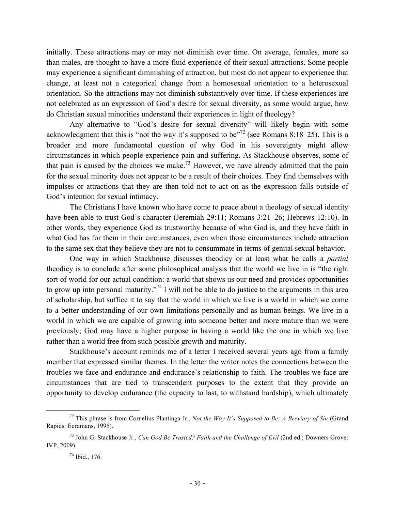initially. These attractions may or may not diminish over time. On average, females, more so than males, are thought to have a more fluid experience of their sexual attractions. Some people may experience a significant diminishing of attraction, but most do not appear to experience that change, at least not a categorical change from a homosexual orientation to a heterosexual orientation. So the attractions may not diminish substantively over time. If these experiences are not celebrated as an expression of God's desire for sexual diversity, as some would argue, how do Christian sexual minorities understand their experiences in light of theology?

Any alternative to "God's desire for sexual diversity" will likely begin with some acknowledgment that this is "not the way it's supposed to be"<sup>72</sup> (see Romans 8:18–25). This is a broader and more fundamental question of why God in his sovereignty might allow circumstances in which people experience pain and suffering. As Stackhouse observes, some of that pain is caused by the choices we make.<sup>73</sup> However, we have already admitted that the pain for the sexual minority does not appear to be a result of their choices. They find themselves with impulses or attractions that they are then told not to act on as the expression falls outside of God's intention for sexual intimacy.

The Christians I have known who have come to peace about a theology of sexual identity have been able to trust God's character (Jeremiah 29:11; Romans 3:21–26; Hebrews 12:10). In other words, they experience God as trustworthy because of who God is, and they have faith in what God has for them in their circumstances, even when those circumstances include attraction to the same sex that they believe they are not to consummate in terms of genital sexual behavior.

One way in which Stackhouse discusses theodicy or at least what he calls a *partial* theodicy is to conclude after some philosophical analysis that the world we live in is "the right sort of world for our actual condition: a world that shows us our need and provides opportunities to grow up into personal maturity."<sup>74</sup> I will not be able to do justice to the arguments in this area of scholarship, but suffice it to say that the world in which we live is a world in which we come to a better understanding of our own limitations personally and as human beings. We live in a world in which we are capable of growing into someone better and more mature than we were previously; God may have a higher purpose in having a world like the one in which we live rather than a world free from such possible growth and maturity.

Stackhouse's account reminds me of a letter I received several years ago from a family member that expressed similar themes. In the letter the writer notes the connections between the troubles we face and endurance and endurance's relationship to faith. The troubles we face are circumstances that are tied to transcendent purposes to the extent that they provide an opportunity to develop endurance (the capacity to last, to withstand hardship), which ultimately

 <sup>72</sup> This phrase is from Cornelius Plantinga Jr., *Not the Way It's Supposed to Be: A Breviary of Sin* (Grand Rapids: Eerdmans, 1995).

<sup>&</sup>lt;sup>73</sup> John G. Stackhouse Jr., *Can God Be Trusted? Faith and the Challenge of Evil* (2nd ed.; Downers Grove: IVP, 2009).

 $74$  Ibid., 176.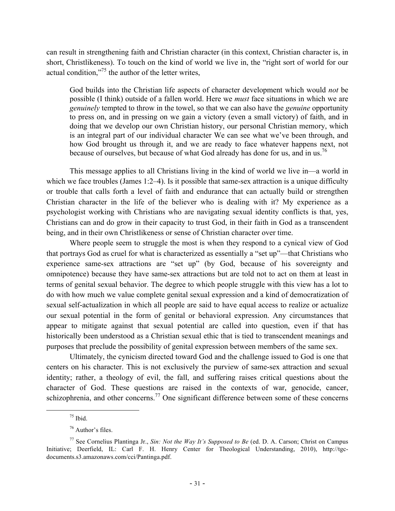can result in strengthening faith and Christian character (in this context, Christian character is, in short, Christlikeness). To touch on the kind of world we live in, the "right sort of world for our actual condition,"<sup>75</sup> the author of the letter writes,

God builds into the Christian life aspects of character development which would *not* be possible (I think) outside of a fallen world. Here we *must* face situations in which we are *genuinely* tempted to throw in the towel, so that we can also have the *genuine* opportunity to press on, and in pressing on we gain a victory (even a small victory) of faith, and in doing that we develop our own Christian history, our personal Christian memory, which is an integral part of our individual character We can see what we've been through, and how God brought us through it, and we are ready to face whatever happens next, not because of ourselves, but because of what God already has done for us, and in us.<sup>76</sup>

This message applies to all Christians living in the kind of world we live in—a world in which we face troubles (James 1:2–4). Is it possible that same-sex attraction is a unique difficulty or trouble that calls forth a level of faith and endurance that can actually build or strengthen Christian character in the life of the believer who is dealing with it? My experience as a psychologist working with Christians who are navigating sexual identity conflicts is that, yes, Christians can and do grow in their capacity to trust God, in their faith in God as a transcendent being, and in their own Christlikeness or sense of Christian character over time.

Where people seem to struggle the most is when they respond to a cynical view of God that portrays God as cruel for what is characterized as essentially a "set up"—that Christians who experience same-sex attractions are "set up" (by God, because of his sovereignty and omnipotence) because they have same-sex attractions but are told not to act on them at least in terms of genital sexual behavior. The degree to which people struggle with this view has a lot to do with how much we value complete genital sexual expression and a kind of democratization of sexual self-actualization in which all people are said to have equal access to realize or actualize our sexual potential in the form of genital or behavioral expression. Any circumstances that appear to mitigate against that sexual potential are called into question, even if that has historically been understood as a Christian sexual ethic that is tied to transcendent meanings and purposes that preclude the possibility of genital expression between members of the same sex.

Ultimately, the cynicism directed toward God and the challenge issued to God is one that centers on his character. This is not exclusively the purview of same-sex attraction and sexual identity; rather, a theology of evil, the fall, and suffering raises critical questions about the character of God. These questions are raised in the contexts of war, genocide, cancer, schizophrenia, and other concerns.<sup>77</sup> One significant difference between some of these concerns

 $75$  Ibid.

<sup>76</sup> Author's files.

<sup>77</sup> See Cornelius Plantinga Jr., *Sin: Not the Way It's Supposed to Be* (ed. D. A. Carson; Christ on Campus Initiative; Deerfield, IL: Carl F. H. Henry Center for Theological Understanding, 2010), http://tgcdocuments.s3.amazonaws.com/cci/Pantinga.pdf.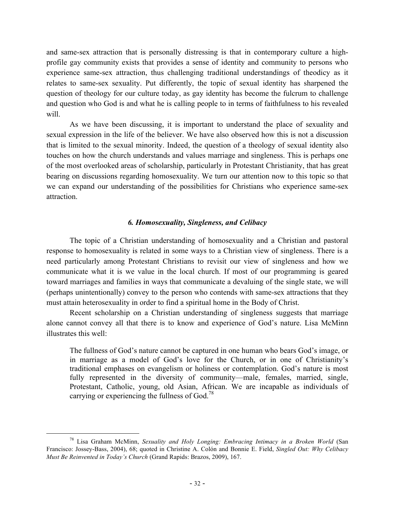and same-sex attraction that is personally distressing is that in contemporary culture a highprofile gay community exists that provides a sense of identity and community to persons who experience same-sex attraction, thus challenging traditional understandings of theodicy as it relates to same-sex sexuality. Put differently, the topic of sexual identity has sharpened the question of theology for our culture today, as gay identity has become the fulcrum to challenge and question who God is and what he is calling people to in terms of faithfulness to his revealed will.

As we have been discussing, it is important to understand the place of sexuality and sexual expression in the life of the believer. We have also observed how this is not a discussion that is limited to the sexual minority. Indeed, the question of a theology of sexual identity also touches on how the church understands and values marriage and singleness. This is perhaps one of the most overlooked areas of scholarship, particularly in Protestant Christianity, that has great bearing on discussions regarding homosexuality. We turn our attention now to this topic so that we can expand our understanding of the possibilities for Christians who experience same-sex attraction.

#### *6. Homosexuality, Singleness, and Celibacy*

The topic of a Christian understanding of homosexuality and a Christian and pastoral response to homosexuality is related in some ways to a Christian view of singleness. There is a need particularly among Protestant Christians to revisit our view of singleness and how we communicate what it is we value in the local church. If most of our programming is geared toward marriages and families in ways that communicate a devaluing of the single state, we will (perhaps unintentionally) convey to the person who contends with same-sex attractions that they must attain heterosexuality in order to find a spiritual home in the Body of Christ.

Recent scholarship on a Christian understanding of singleness suggests that marriage alone cannot convey all that there is to know and experience of God's nature. Lisa McMinn illustrates this well:

The fullness of God's nature cannot be captured in one human who bears God's image, or in marriage as a model of God's love for the Church, or in one of Christianity's traditional emphases on evangelism or holiness or contemplation. God's nature is most fully represented in the diversity of community—male, females, married, single, Protestant, Catholic, young, old Asian, African. We are incapable as individuals of carrying or experiencing the fullness of God.78

 <sup>78</sup> Lisa Graham McMinn, *Sexuality and Holy Longing: Embracing Intimacy in a Broken World* (San Francisco: Jossey-Bass, 2004), 68; quoted in Christine A. Colón and Bonnie E. Field, *Singled Out: Why Celibacy Must Be Reinvented in Today's Church* (Grand Rapids: Brazos, 2009), 167.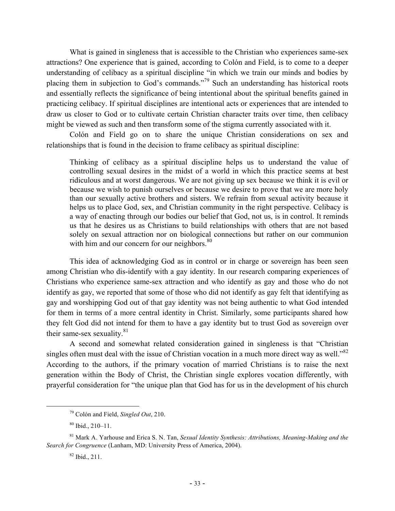What is gained in singleness that is accessible to the Christian who experiences same-sex attractions? One experience that is gained, according to Colón and Field, is to come to a deeper understanding of celibacy as a spiritual discipline "in which we train our minds and bodies by placing them in subjection to God's commands."<sup>79</sup> Such an understanding has historical roots and essentially reflects the significance of being intentional about the spiritual benefits gained in practicing celibacy. If spiritual disciplines are intentional acts or experiences that are intended to draw us closer to God or to cultivate certain Christian character traits over time, then celibacy might be viewed as such and then transform some of the stigma currently associated with it.

Colón and Field go on to share the unique Christian considerations on sex and relationships that is found in the decision to frame celibacy as spiritual discipline:

Thinking of celibacy as a spiritual discipline helps us to understand the value of controlling sexual desires in the midst of a world in which this practice seems at best ridiculous and at worst dangerous. We are not giving up sex because we think it is evil or because we wish to punish ourselves or because we desire to prove that we are more holy than our sexually active brothers and sisters. We refrain from sexual activity because it helps us to place God, sex, and Christian community in the right perspective. Celibacy is a way of enacting through our bodies our belief that God, not us, is in control. It reminds us that he desires us as Christians to build relationships with others that are not based solely on sexual attraction nor on biological connections but rather on our communion with him and our concern for our neighbors.<sup>80</sup>

This idea of acknowledging God as in control or in charge or sovereign has been seen among Christian who dis-identify with a gay identity. In our research comparing experiences of Christians who experience same-sex attraction and who identify as gay and those who do not identify as gay, we reported that some of those who did not identify as gay felt that identifying as gay and worshipping God out of that gay identity was not being authentic to what God intended for them in terms of a more central identity in Christ. Similarly, some participants shared how they felt God did not intend for them to have a gay identity but to trust God as sovereign over their same-sex sexuality. $81$ 

A second and somewhat related consideration gained in singleness is that "Christian singles often must deal with the issue of Christian vocation in a much more direct way as well."<sup>82</sup> According to the authors, if the primary vocation of married Christians is to raise the next generation within the Body of Christ, the Christian single explores vocation differently, with prayerful consideration for "the unique plan that God has for us in the development of his church

 <sup>79</sup> Colón and Field, *Singled Out*, 210.

 $80$  Ibid., 210–11.

<sup>81</sup> Mark A. Yarhouse and Erica S. N. Tan, *Sexual Identity Synthesis: Attributions, Meaning-Making and the Search for Congruence* (Lanham, MD: University Press of America, 2004).

 $82$  Ibid., 211.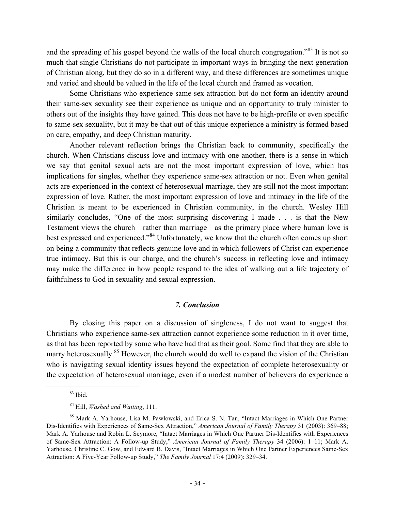and the spreading of his gospel beyond the walls of the local church congregation.<sup>83</sup> It is not so much that single Christians do not participate in important ways in bringing the next generation of Christian along, but they do so in a different way, and these differences are sometimes unique and varied and should be valued in the life of the local church and framed as vocation.

Some Christians who experience same-sex attraction but do not form an identity around their same-sex sexuality see their experience as unique and an opportunity to truly minister to others out of the insights they have gained. This does not have to be high-profile or even specific to same-sex sexuality, but it may be that out of this unique experience a ministry is formed based on care, empathy, and deep Christian maturity.

Another relevant reflection brings the Christian back to community, specifically the church. When Christians discuss love and intimacy with one another, there is a sense in which we say that genital sexual acts are not the most important expression of love, which has implications for singles, whether they experience same-sex attraction or not. Even when genital acts are experienced in the context of heterosexual marriage, they are still not the most important expression of love. Rather, the most important expression of love and intimacy in the life of the Christian is meant to be experienced in Christian community, in the church. Wesley Hill similarly concludes, "One of the most surprising discovering I made . . . is that the New Testament views the church—rather than marriage—as the primary place where human love is best expressed and experienced."<sup>84</sup> Unfortunately, we know that the church often comes up short on being a community that reflects genuine love and in which followers of Christ can experience true intimacy. But this is our charge, and the church's success in reflecting love and intimacy may make the difference in how people respond to the idea of walking out a life trajectory of faithfulness to God in sexuality and sexual expression.

# *7. Conclusion*

By closing this paper on a discussion of singleness, I do not want to suggest that Christians who experience same-sex attraction cannot experience some reduction in it over time, as that has been reported by some who have had that as their goal. Some find that they are able to marry heterosexually.<sup>85</sup> However, the church would do well to expand the vision of the Christian who is navigating sexual identity issues beyond the expectation of complete heterosexuality or the expectation of heterosexual marriage, even if a modest number of believers do experience a

 $83$  Ibid.

<sup>84</sup> Hill, *Washed and Waiting*, 111.

<sup>&</sup>lt;sup>85</sup> Mark A. Yarhouse, Lisa M. Pawlowski, and Erica S. N. Tan, "Intact Marriages in Which One Partner Dis-Identifies with Experiences of Same-Sex Attraction," *American Journal of Family Therapy* 31 (2003): 369–88; Mark A. Yarhouse and Robin L. Seymore, "Intact Marriages in Which One Partner Dis-Identifies with Experiences of Same-Sex Attraction: A Follow-up Study," *American Journal of Family Therapy* 34 (2006): 1–11; Mark A. Yarhouse, Christine C. Gow, and Edward B. Davis, "Intact Marriages in Which One Partner Experiences Same-Sex Attraction: A Five-Year Follow-up Study," *The Family Journal* 17:4 (2009): 329–34.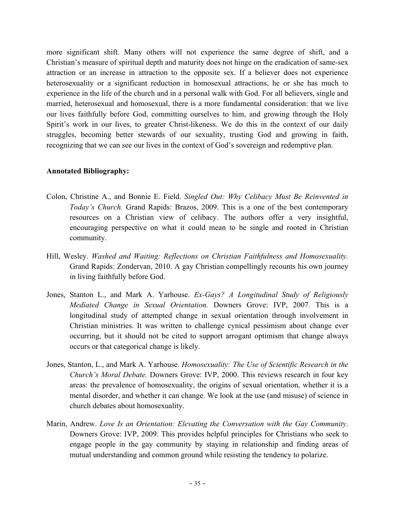more significant shift. Many others will not experience the same degree of shift, and a Christian's measure of spiritual depth and maturity does not hinge on the eradication of same-sex attraction or an increase in attraction to the opposite sex. If a believer does not experience heterosexuality or a significant reduction in homosexual attractions, he or she has much to experience in the life of the church and in a personal walk with God. For all believers, single and married, heterosexual and homosexual, there is a more fundamental consideration: that we live our lives faithfully before God, committing ourselves to him, and growing through the Holy Spirit's work in our lives, to greater Christ-likeness. We do this in the context of our daily struggles, becoming better stewards of our sexuality, trusting God and growing in faith, recognizing that we can see our lives in the context of God's sovereign and redemptive plan.

# **Annotated Bibliography:**

- Colon, Christine A., and Bonnie E. Field. *Singled Out: Why Celibacy Must Be Reinvented in Today's Church.* Grand Rapids: Brazos, 2009. This is a one of the best contemporary resources on a Christian view of celibacy. The authors offer a very insightful, encouraging perspective on what it could mean to be single and rooted in Christian community.
- Hill, Wesley. *Washed and Waiting: Reflections on Christian Faithfulness and Homosexuality.*  Grand Rapids: Zondervan, 2010. A gay Christian compellingly recounts his own journey in living faithfully before God.
- Jones, Stanton L., and Mark A. Yarhouse. *Ex-Gays? A Longitudinal Study of Religiously Mediated Change in Sexual Orientation.* Downers Grove: IVP, 2007. This is a longitudinal study of attempted change in sexual orientation through involvement in Christian ministries. It was written to challenge cynical pessimism about change ever occurring, but it should not be cited to support arrogant optimism that change always occurs or that categorical change is likely.
- Jones, Stanton, L., and Mark A. Yarhouse. *Homosexuality: The Use of Scientific Research in the Church's Moral Debate.* Downers Grove: IVP, 2000. This reviews research in four key areas: the prevalence of homosexuality, the origins of sexual orientation, whether it is a mental disorder, and whether it can change. We look at the use (and misuse) of science in church debates about homosexuality.
- Marin, Andrew. *Love Is an Orientation: Elevating the Conversation with the Gay Community*. Downers Grove: IVP, 2009. This provides helpful principles for Christians who seek to engage people in the gay community by staying in relationship and finding areas of mutual understanding and common ground while resisting the tendency to polarize.